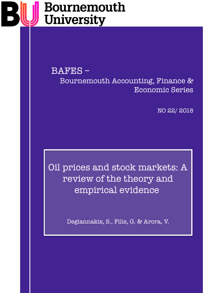# Bournemouth **University**

BAFES – Bournemouth Accounting, Finance & Economic Series

NO 22/ 2018

Oil prices and stock markets: A review of the theory and empirical evidence

Degiannakis, S., Filis, G. & Arora, V.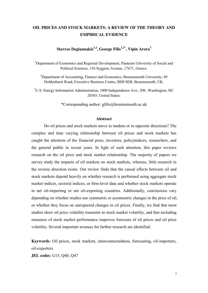# **OIL PRICES AND STOCK MARKETS: A REVIEW OF THE THEORY AND EMPIRICAL EVIDENCE**

**Stavros Degiannakis1,2, George Filis1,2\* , Vipin Arora<sup>3</sup>**

<sup>1</sup>Department of Economics and Regional Development, Panteion University of Social and Political Sciences, 136 Syggrou Avenue, 17671, Greece.

<sup>2</sup>Department of Accounting, Finance and Economics, Bournemouth University, 89 Holdenhurst Road, Executive Business Centre, BH8 8EB, Bournemouth, UK.

3 U.S. Energy Information Administration, 1000 Independence Ave., SW, Washington, DC 20585, United States.

\*Corresponding author: gfilis@bournemouth.ac.uk

#### **Abstract**

Do oil prices and stock markets move in tandem or in opposite directions? The complex and time varying relationship between oil prices and stock markets has caught the attention of the financial press, investors, policymakers, researchers, and the general public in recent years. In light of such attention, this paper reviews research on the oil price and stock market relationship. The majority of papers we survey study the impacts of oil markets on stock markets, whereas, little research in the reverse direction exists. Our review finds that the causal effects between oil and stock markets depend heavily on whether research is performed using aggregate stock market indices, sectoral indices, or firm-level data and whether stock markets operate in net oil-importing or net oil-exporting countries. Additionally, conclusions vary depending on whether studies use symmetric or asymmetric changes in the price of oil, or whether they focus on unexpected changes in oil prices. Finally, we find that most studies show oil price volatility transmits to stock market volatility, and that including measures of stock market performance improves forecasts of oil prices and oil price volatility. Several important avenues for further research are identified.

**Keywords**: Oil prices, stock markets, interconnectedness, forecasting, oil-importers, oil-exporters.

**JEL codes**: G15, Q40, Q47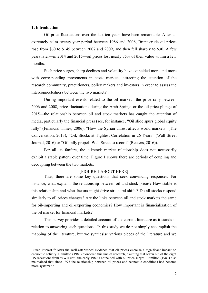#### **1. Introduction**

Oil price fluctuations over the last ten years have been remarkable. After an extremely calm twenty-year period between 1986 and 2006, Brent crude oil prices rose from \$60 to \$145 between 2007 and 2009, and then fell sharply to \$30. A few years later—in 2014 and 2015—oil prices lost nearly 75% of their value within a few months.

Such price surges, sharp declines and volatility have coincided more and more with corresponding movements in stock markets, attracting the attention of the research community, practitioners, policy makers and investors in order to assess the interconnectedness between the two markets<sup>1</sup>.

During important events related to the oil market—the price rally between 2006 and 2008, price fluctuations during the Arab Spring, or the oil price plunge of 2015—the relationship between oil and stock markets has caught the attention of media, particularly the financial press (see, for instance, "Oil slide spurs global equity rally" (Financial Times, 2006), "How the Syrian unrest affects world markets" (The Conversation, 2013), "Oil, Stocks at Tightest Correlation in 26 Years" (Wall Street Journal, 2016) or "Oil rally propels Wall Street to record" (Reuters, 2016)).

For all its fanfare, the oil/stock market relationship does not necessarily exhibit a stable pattern over time. Figure 1 shows there are periods of coupling and decoupling between the two markets.

#### [FIGURE 1 ABOUT HERE]

Thus, there are some key questions that seek convincing responses. For instance, what explains the relationship between oil and stock prices? How stable is this relationship and what factors might drive structural shifts? Do all stocks respond similarly to oil prices changes? Are the links between oil and stock markets the same for oil-importing and oil-exporting economies? How important is financialization of the oil market for financial markets?

This survey provides a detailed account of the current literature as it stands in relation to answering such questions. In this study we do not simply accomplish the mapping of the literature, but we synthesise various pieces of the literature and we

<sup>&</sup>lt;sup>1</sup> Such interest follows the well-established evidence that oil prices exercise a significant impact on economic activity. Hamilton (1983) pioneered this line of research, claiming that seven out of the eight US recessions from WWII until the early 1980's coincided with oil price surges. Hamilton (1983) also maintained that since 1973 the relationship between oil prices and economic conditions had become more systematic.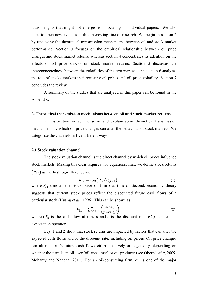draw insights that might not emerge from focusing on individual papers. We also hope to open new avenues in this interesting line of research. We begin in section 2 by reviewing the theoretical transmission mechanisms between oil and stock market performance. Section 3 focuses on the empirical relationship between oil price changes and stock market returns, whereas section 4 concentrates its attention on the effects of oil price shocks on stock market returns. Section 5 discusses the interconnectedness between the volatilities of the two markets, and section 6 analyses the role of stocks markets in forecasting oil prices and oil price volatility. Section 7 concludes the review.

A summary of the studies that are analysed in this paper can be found in the Appendix.

#### **2. Theoretical transmission mechanisms between oil and stock market returns**

In this section we set the scene and explain some theoretical transmission mechanisms by which oil price changes can alter the behaviour of stock markets. We categorize the channels in five different ways.

#### **2.1 Stock valuation channel**

The stock valuation channel is the direct channel by which oil prices influence stock markets. Making this clear requires two equations: first, we define stock returns  $(R_{i,t})$  as the first log-difference as:

$$
R_{i,t} = \log(P_{i,t}/P_{i,t-1}),\tag{1}
$$

where  $P_{i,t}$  denotes the stock price of firm i at time t. Second, economic theory suggests that current stock prices reflect the discounted future cash flows of a particular stock (Huang *et al.*, 1996). This can be shown as:

$$
P_{i,t} = \sum_{n=t+1}^{N} \left( \frac{E(CF_n)}{(1+E(r))^n} \right),\tag{2}
$$

where  $CF_n$  is the cash flow at time n and r is the discount rate.  $E(\cdot)$  denotes the expectation operator.

Eqs. 1 and 2 show that stock returns are impacted by factors that can alter the expected cash flows and/or the discount rate, including oil prices. Oil price changes can alter a firm's future cash flows either positively or negatively, depending on whether the firm is an oil-user (oil-consumer) or oil-producer (see Oberndorfer, 2009; Mohanty and Nandha, 2011). For an oil-consuming firm, oil is one of the major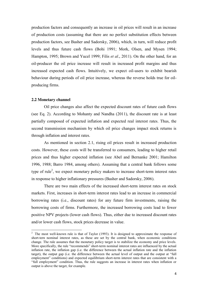production factors and consequently an increase in oil prices will result in an increase of production costs (assuming that there are no perfect substitution effects between production factors, see Basher and Sadorsky, 2006), which, in turn, will reduce profit levels and thus future cash flows (Bohi 1991; Mork, Olsen, and Mysen 1994; Hampton, 1995; Brown and Yucel 1999; Filis *et al.*, 2011). On the other hand, for an oil-producer the oil price increase will result in increased profit margins and thus increased expected cash flows. Intuitively, we expect oil-users to exhibit bearish behaviour during periods of oil price increase, whereas the reverse holds true for oilproducing firms.

#### **2.2 Monetary channel**

Oil price changes also affect the expected discount rates of future cash flows (see Eq. 2). According to Mohanty and Nandha (2011), the discount rate is at least partially composed of expected inflation and expected real interest rates. Thus, the second transmission mechanism by which oil price changes impact stock returns is through inflation and interest rates.

As mentioned in section 2.1, rising oil prices result in increased production costs. However, these costs will be transferred to consumers, leading to higher retail prices and thus higher expected inflation (see Abel and Bernanke 2001; Hamilton 1996, 1988; Barro 1984, among others). Assuming that a central bank follows some type of rule<sup>2</sup>, we expect monetary policy makers to increase short-term interest rates in response to higher inflationary pressures (Basher and Sadorsky, 2006).

There are two main effects of the increased short-term interest rates on stock markets. First, increases in short-term interest rates lead to an increase in commercial borrowing rates (i.e., discount rates) for any future firm investments, raising the borrowing costs of firms. Furthermore, the increased borrowing costs lead to fewer positive NPV projects (lower cash flows). Thus, either due to increased discount rates and/or lower cash flows, stock prices decrease in value.

 $\frac{1}{2}$  $\frac{2}{1}$  The most well-known rule is that of Taylor (1993). It is designed to approximate the response of short-tern nominal interest rates, as these are set by the central bank, when economic conditions change. The rule assumes that the monetary policy target is to stabilize the economy and price levels. More specifically, the rule "recommends" short-term nominal interest rates are influenced by the actual inflation rate, the inflation gap (i.e. the difference between the actual inflation rate and the inflation target), the output gap (i.e. the difference between the actual level of output and the output at "full employment" conditions) and expected equilibrium short-term interest rates that are consistent with a "full employment" condition. Thus, the rule suggests an increase in interest rates when inflation or output is above the target, for example.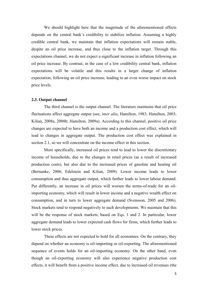We should highlight here that the magnitude of the aforementioned effects depends on the central bank's credibility to stabilize inflation. Assuming a highly credible central bank, we maintain that inflation expectations will remain stable, despite an oil price increase, and thus close to the inflation target. Through this expectations channel, we do not expect a significant increase in inflation following an oil price increase. By contrast, in the case of a low credibility central bank, inflation expectations will be volatile and this results in a larger change of inflation expectation, following an oil price increase, leading to an even worse impact on stock price levels.

#### **2.3. Output channel**

The third channel is the output channel. The literature maintains that oil price fluctuations affect aggregate output (see, *inter alia*, Hamilton, 1983; Hamilton, 2003; Kilian, 2008a, 2008b; Hamilton, 2009a). According to this channel, positive oil price changes are expected to have both an income and a production cost effect, which will lead to changes in aggregate output. The production cost effect was explained in section 2.1, so we will concentrate on the income effect in this section.

More specifically, increased oil prices tend to lead to lower the discretionary income of households, due to the changes in retail prices (as a result of increased production costs), but also due to the increased prices of gasoline and heating oil (Bernanke, 2006; Edelstein and Kilian, 2009). Lower income leads to lower consumption and thus aggregate output, which further leads to lower labour demand. Put differently, an increase in oil prices will worsen the terms-of-trade for an oilimporting economy, which will result in lower income and a negative wealth effect on consumption, and in turn to lower aggregate demand (Svensson, 2005 and 2006). Stock markets tend to respond negatively to such developments. We maintain that this will be the response of stock markets, based on Eqs. 1 and 2. In particular, lower aggregate demand leads to lower expected cash flows for firms, which further leads to lower stock prices.

These effects are not expected to hold for all economies. On the contrary, they depend on whether an economy is oil-importing or oil-exporting. The aforementioned sequence of events holds for an oil-importing economy. On the other hand, even though an oil-exporting economy will also experience negative production cost effects, it will benefit from a positive income effect, due to increased oil revenues (the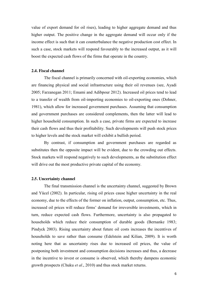value of export demand for oil rises), leading to higher aggregate demand and thus higher output. The positive change in the aggregate demand will occur only if the income effect is such that it can counterbalance the negative production cost effect. In such a case, stock markets will respond favourably to the increased output, as it will boost the expected cash flows of the firms that operate in the country.

# **2.4. Fiscal channel**

The fiscal channel is primarily concerned with oil-exporting economies, which are financing physical and social infrastructure using their oil revenues (see, Ayadi 2005; Farzanegan 2011; Emami and Adibpour 2012). Increased oil prices tend to lead to a transfer of wealth from oil-importing economies to oil-exporting ones (Dohner, 1981), which allow for increased government purchases. Assuming that consumption and government purchases are considered complements, then the latter will lead to higher household consumption. In such a case, private firms are expected to increase their cash flows and thus their profitability. Such developments will push stock prices to higher levels and the stock market will exhibit a bullish period.

By contrast, if consumption and government purchases are regarded as substitutes then the opposite impact will be evident, due to the crowding out effects. Stock markets will respond negatively to such developments, as the substitution effect will drive out the most productive private capital of the economy.

#### **2.5. Uncertainty channel**

The final transmission channel is the uncertainty channel, suggested by Brown and Yücel (2002). In particular, rising oil prices cause higher uncertainty in the real economy, due to the effects of the former on inflation, output, consumption, etc. Thus, increased oil prices will reduce firms' demand for irreversible investments, which in turn, reduce expected cash flows. Furthermore, uncertainty is also propagated to households which reduce their consumption of durable goods (Bernanke 1983; Pindyck 2003). Rising uncertainty about future oil costs increases the incentives of households to save rather than consume (Edelstein and Kilian, 2009). It is worth noting here that as uncertainty rises due to increased oil prices, the value of postponing both investment and consumption decisions increases and thus, a decrease in the incentive to invest or consume is observed, which thereby dampens economic growth prospects (Chuku *et al.*, 2010) and thus stock market returns.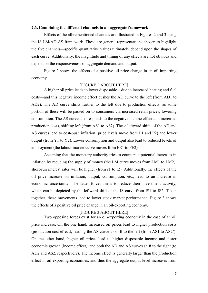#### **2.6. Combining the different channels in an aggregate framework**

Effects of the aforementioned channels are illustrated in Figures 2 and 3 using the IS-LM/AD-AS framework. These are general representations chosen to highlight the five channels—specific quantitative values ultimately depend upon the shapes of each curve. Additionally, the magnitude and timing of any effects are not obvious and depend on the responsiveness of aggregate demand and output.

Figure 2 shows the effects of a positive oil price change in an oil-importing economy.

### [FIGURE 2 ABOUT HERE]

A higher oil price leads to lower disposable—due to increased heating and fuel costs—and this negative income effect pushes the AD curve to the left (from AD1 to AD2). The AD curve shifts further to the left due to production effects, as some portion of these will be passed on to consumers via increased retail prices, lowering consumption. The AS curve also responds to the negative income effect and increased production costs, shifting left (from AS1 to AS2). These leftward shifts of the AD and AS curves lead to cost-push inflation (price levels move from P1 and P2) and lower output (from Y1 to Y2). Lower consumption and output also lead to reduced levels of employment (the labour market curve moves from FE1 to FE2).

Assuming that the monetary authority tries to counteract potential increases in inflation by reducing the supply of money (the LM curve moves from LM1 to LM2), short-run interest rates will be higher (from r1 to r2). Additionally, the effects of the oil price increase on inflation, output, consumption, etc., lead to an increase in economic uncertainty. The latter forces firms to reduce their investment activity, which can be depicted by the leftward shift of the IS curve from IS1 to IS2. Taken together, these movements lead to lower stock market performance. Figure 3 shows the effects of a positive oil price change in an oil-exporting economy.

#### [FIGURE 3 ABOUT HERE]

Two opposing forces exist for an oil-exporting economy in the case of an oil price increase. On the one hand, increased oil prices lead to higher production costs (production cost effect), leading the AS curve to shift to the left (from AS1 to AS2'). On the other hand, higher oil prices lead to higher disposable income and faster economic growth (income effect), and both the AD and AS curves shift to the right (to AD2 and AS2, respectively). The income effect is generally larger than the production effect in oil exporting economies, and thus the aggregate output level increases from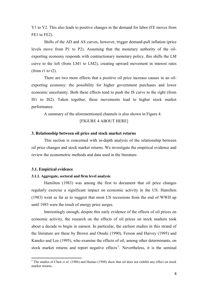Y1 to Y2. This also leads to positive changes in the demand for labor (FE moves from FE1 to FE2).

Shifts of the AD and AS curves, however, trigger demand-pull inflation (price levels move from P1 to P2). Assuming that the monetary authority of the oilexporting economy responds with contractionary monetary policy, this shifts the LM curve to the left (from LM1 to LM2), creating upward movement in interest rates (from r1 to r2).

There are two more effects that a positive oil price increase causes in an oilexporting economy: the possibility for higher government purchases and lower economic uncertainty. Both these effects tend to push the IS curve to the right (from IS1 to IS2). Taken together, these movements lead to higher stock market performance.

A summary of the aforementioned channels is also shown in Figure 4.

# [FIGURE 4 ABOUT HERE]

#### **3. Relationship between oil price and stock market returns**

This section is concerned with in-depth analysis of the relationship between oil price changes and stock market returns. We investigate the empirical evidence and review the econometric methods and data used in the literature.

### **3.1. Empirical evidence**

# **3.1.1. Aggregate, sectoral and firm level analysis**

Hamilton (1983) was among the first to document that oil price changes regularly exercise a significant impact on economic activity in the US. Hamilton (1983) went as far as to suggest that most US recessions from the end of WWII up until 1983 were the result of energy price surges.

Interestingly enough, despite this early evidence of the effects of oil prices on economic activity, the research on the effects of oil prices on stock markets took about a decade to begin in earnest. In particular, the earliest studies in this strand of the literature are these by Brown and Otsuki (1990), Ferson and Harvey (1995) and Kaneko and Lee (1995), who examine the effects of oil, among other determinants, on stock market returns and report negative effects<sup>3</sup>. Nevertheless, it is the seminal

<sup>&</sup>lt;sup>3</sup> The studies of Chen *et al.* (1986) and Hamao (1988) show that oil does not exhibit any effect on stock market returns.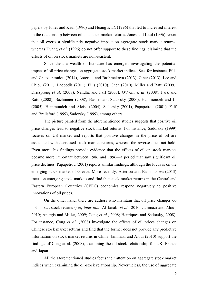papers by Jones and Kaul (1996) and Huang *et al*. (1996) that led to increased interest in the relationship between oil and stock market returns. Jones and Kaul (1996) report that oil exerts a significantly negative impact on aggregate stock market returns, whereas Huang *et al*. (1996) do not offer support to these findings, claiming that the effects of oil on stock markets are non-existent.

Since then, a wealth of literature has emerged investigating the potential impact of oil price changes on aggregate stock market indices. See, for instance, Filis and Chatziantoniou (2014), Asteriou and Bashmakova (2013), Ciner (2013), Lee and Chiou (2011), Laopodis (2011), Filis (2010), Chen (2010), Miller and Ratti (2009), Driesprong *et al*. (2008), Nandha and Faff (2008), O'Neill *et al*. (2008), Park and Ratti (2008), Bachmeier (2008), Basher and Sadorsky (2006), Hammoudeh and Li (2005), Hammoudeh and Aleisa (2004), Sadorsky (2001), Papapetrou (2001), Faff and Brailsford (1999), Sadorsky (1999), among others.

The picture painted from the aforementioned studies suggests that positive oil price changes lead to negative stock market returns. For instance, Sadorsky (1999) focuses on US market and reports that positive changes in the price of oil are associated with decreased stock market returns, whereas the reverse does not hold. Even more, his findings provide evidence that the effects of oil on stock markets became more important between 1986 and 1996—a period that saw significant oil price declines. Papapetrou (2001) reports similar findings, although the focus is on the emerging stock market of Greece. More recently, Asteriou and Bashmakova (2013) focus on emerging stock markets and find that stock market returns in the Central and Eastern European Countries (CEEC) economies respond negatively to positive innovations of oil prices.

On the other hand, there are authors who maintain that oil price changes do not impact stock returns (see, *inter alia*, Al Janabi *et al*., 2010; Jammazi and Aloui, 2010; Apergis and Miller, 2009; Cong *et al*., 2008; Henriques and Sadorsky, 2008). For instance, Cong *et al*. (2008) investigate the effects of oil prices changes on Chinese stock market returns and find that the former does not provide any predictive information on stock market returns in China. Jammazi and Aloui (2010) support the findings of Cong at al. (2008), examining the oil-stock relationship for UK, France and Japan.

All the aforementioned studies focus their attention on aggregate stock market indices when examining the oil-stock relationship. Nevertheless, the use of aggregate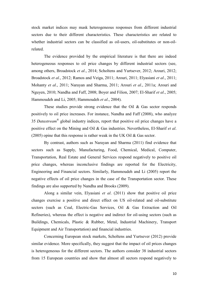stock market indices may mask heterogeneous responses from different industrial sectors due to their different characteristics. These characteristics are related to whether industrial sectors can be classified as oil-users, oil-substitutes or non-oilrelated.

The evidence provided by the empirical literature is that there are indeed heterogeneous responses to oil price changes by different industrial sectors (see, among others, Broadstock *et al*., 2014; Scholtens and Yurtsever, 2012; Arouri, 2012; Broadstock *et al*., 2012; Ramos and Veiga, 2011; Arouri, 2011; Elyasiani *et al*., 2011; Mohanty *et al*., 2011; Narayan and Sharma, 2011; Arouri *et al*., 2011a; Arouri and Nguyen, 2010; Nandha and Faff, 2008; Boyer and Filion, 2007; El-Sharif *et al*., 2005; Hammoudeh and Li, 2005; Hammoudeh *et al*., 2004).

These studies provide strong evidence that the Oil  $\&$  Gas sector responds positively to oil price increases. For instance, Nandha and Faff (2008), who analyze 35 *Datastream*® global industry indices, report that positive oil price changes have a positive effect on the Mining and Oil & Gas industries. Nevertheless, El-Sharif *et al*. (2005) opine that this response is rather weak in the UK Oil & Gas sector.

By contrast, authors such as Narayan and Sharma (2011) find evidence that sectors such as Supply, Manufacturing, Food, Chemical, Medical, Computer, Transportation, Real Estate and General Services respond negatively to positive oil price changes, whereas inconclusive findings are reported for the Electricity, Engineering and Financial sectors. Similarly, Hammoudeh and Li (2005) report the negative effects of oil price changes in the case of the Transportation sector. These findings are also supported by Nandha and Brooks (2009).

Along a similar vein, Elyasiani *et al*. (2011) show that positive oil price changes exercise a positive and direct effect on US oil-related and oil-substitute sectors (such as Coal, Electric-Gas Services, Oil & Gas Extraction and Oil Refineries), whereas the effect is negative and indirect for oil-using sectors (such as Buildings, Chemicals, Plastic & Rubber, Metal, Industrial Machinery, Transport Equipment and Air Transportation) and financial industries.

Concerning European stock markets, Scholtens and Yurtsever (2012) provide similar evidence. More specifically, they suggest that the impact of oil prices changes is heterogeneous for the different sectors. The authors consider 38 industrial sectors from 15 European countries and show that almost all sectors respond negatively to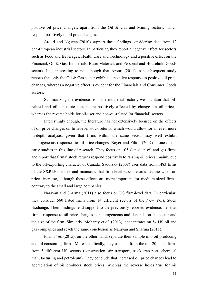positive oil price changes, apart from the Oil & Gas and Mining sectors, which respond positively to oil price changes.

Arouri and Nguyen (2010) support these findings considering data from 12 pan-European industrial sectors. In particular, they report a negative effect for sectors such as Food and Beverages, Health Care and Technology and a positive effect on the Financial, Oil & Gas, Industrials, Basic Materials and Personal and Household Goods sectors. It is interesting to note though that Arouri (2011) in a subsequent study reports that only the Oil & Gas sector exhibits a positive response to positive oil price changes, whereas a negative effect is evident for the Financials and Consumer Goods sectors.

Summarizing the evidence from the industrial sectors, we maintain that oilrelated and oil-substitute sectors are positively affected by changes in oil prices, whereas the reverse holds for oil-user and non-oil-related (or financial) sectors.

Interestingly enough, the literature has not extensively focused on the effects of oil price changes on firm-level stock returns, which would allow for an even more in-depth analysis, given that firms within the same sector may well exhibit heterogeneous responses to oil price changes. Boyer and Filion (2007) is one of the early studies in this line of research. They focus on 105 Canadian oil and gas firms and report that firms' stock returns respond positively to raising oil prices, mainly due to the oil-exporting character of Canada. Sadorsky (2008) uses data from 1483 firms of the S&P1500 index and maintains that firm-level stock returns decline when oil prices increase, although these effects are more important for medium-sized firms, contrary to the small and large companies.

Narayan and Sharma (2011) also focus on US firm-level data. In particular, they consider 560 listed firms from 14 different sectors of the New York Stock Exchange. Their findings lend support to the previously reported evidence, i.e. that firms' response to oil price changes is heterogeneous and depends on the sector and the size of the firm. Similarly, Mohanty *et al*. (2013), concentrates on 54 US oil and gas companies and reach the same conclusion as Narayan and Sharma (2011).

Phan *et al*. (2015), on the other hand, separate their sample into oil producing and oil consuming firms. More specifically, they use data from the top-20 listed firms from 5 different US sectors (construction, air transport, truck transport, chemical manufacturing and petroleum). They conclude that increased oil price changes lead to appreciation of oil producer stock prices, whereas the reverse holds true for oil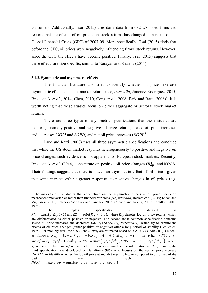consumers. Additionally, Tsai (2015) uses daily data from 682 US listed firms and reports that the effects of oil prices on stock returns has changed as a result of the Global Financial Crisis (GFC) of 2007-09. More specifically, Tsai (2015) finds that before the GFC, oil prices were negatively influencing firms' stock returns. However, since the GFC the effects have become positive. Finally, Tsai (2015) suggests that these effects are size specific, similar to Narayan and Sharma (2011).

#### **3.1.2. Symmetric and asymmetric effects**

The financial literature also tries to identify whether oil prices exercise asymmetric effects on stock market returns (see, *inter alia*, Jiménez-Rodríguez, 2015; Broadstock *et al.*, 2014; Chen, 2010; Cong *et al.*, 2008; Park and Ratti, 2008)<sup>4</sup>. It is worth noting that these studies focus on either aggregate or sectoral stock market returns.

There are three types of asymmetric specifications that these studies are exploring, namely positive and negative oil price returns, scaled oil price increases and decreases (*SOPI* and *SOPD*) and net oil price increases (*NOPI*) 5 .

Park and Ratti (2008) uses all three asymmetric specifications and conclude that while the US stock market responds heterogeneously to positive and negative oil price changes, such evidence is not apparent for European stock markets. Recently, Broadstock *et al.* (2014) concentrate on positive oil price changes  $(R_{op}^+)$  and  $NOPI_t$ . Their findings suggest that there is indeed an asymmetric effect of oil prices, given that some markets exhibit greater responses to positive changes in oil prices (e.g.

<sup>&</sup>lt;sup>4</sup> The majority of the studies that concentrate on the asymmetric effects of oil prices focus on macroeconomic variables rather than financial variables (see, *inter alia*, Herrera *et al*., 2015; Kilian and Vigfusson, 2011; Jiménez-Rodríguez and Sánchez, 2005; Cunado and Gracia, 2005; Hamilton, 2003, 1996).

The simplest specification is defined  $R_{on}^{+} = max(0, R_{on} > 0)$  and  $R_{on}^{-} = min(R_{on} < 0, 0)$ , where  $R_{on}$  denotes log oil price returns, which are differentiated as either positive or negative. The second most common specification concerns scaled oil price increases and decreases ( $\widetilde{SOPI_t}$  and  $\widetilde{SOPD_t}$ , respectively), which try to capture the effects of oil price changes (either positive or negative) after a long period of stability (Lee *et al*., 1995). For monthly data, the  $SOPI_t$  and  $SOPD_t$  are estimated based on a AR(12)-GARCH(1,1) model, as follows:  $R_{on,t} = b_0 + b_1 R_{on,t-1} + b_2 R_{on,t-2} + \cdots + b_{12} R_{on,t-12} + e_t$ , for  $e_t | \Omega_{t-1} \sim N(0, \sigma_t^2)$ , and  $\sigma_t^2 = \gamma_0 + \gamma_1 e_{t-1}^2 + \gamma_2 \sigma_{t-1}^2$ ,  $SOPI_t = max\left(0, \hat{e}_t / \sqrt{\hat{\sigma}_t^2}\right)$ ,  $SOPI_t = min\left(-\hat{e}_t / \sqrt{\hat{\sigma}_t^2}, 0\right)$ , where  $\hat{e}_t$  is the error term and  $\hat{\sigma}_t^2$  is the conditional variance based on the information set  $\Omega_{t-1}$ . Finally, the third specification was developed by Hamilton (1996), who focuses on the net oil price increase  $(NOPI<sub>t</sub>)$ , to identify whether the log oil price at month  $t (op<sub>t</sub>)$  is higher compared to oil prices of the past vear. past year, such that  $NOPI_t = max(0, op_t - max\{op_{t-1}, op_{t-2}, op_{t-3}, ..., op_{t-12}\}).$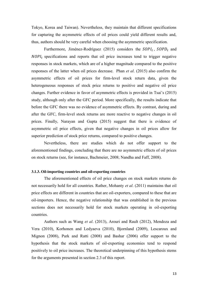Tokyo, Korea and Taiwan). Nevertheless, they maintain that different specifications for capturing the asymmetric effects of oil prices could yield different results and, thus, authors should be very careful when choosing the asymmetric specification.

Furthermore, Jiménez-Rodríguez (2015) considers the  $SOPI_t$ ,  $SOPD_t$  and  $NOPI<sub>t</sub>$  specifications and reports that oil price increases tend to trigger negative responses in stock markets, which are of a higher magnitude compared to the positive responses of the latter when oil prices decrease. Phan *et al*. (2015) also confirm the asymmetric effects of oil prices for firm-level stock return data, given the heterogeneous responses of stock price returns to positive and negative oil price changes. Further evidence in favor of asymmetric effects is provided in Tsai's (2015) study, although only after the GFC period. More specifically, the results indicate that before the GFC there was no evidence of asymmetric effects. By contrast, during and after the GFC, firm-level stock returns are more reactive to negative changes in oil prices. Finally, Narayan and Gupta (2015) suggest that there is evidence of asymmetric oil price effects, given that negative changes in oil prices allow for superior prediction of stock price returns, compared to positive changes.

Nevertheless, there are studies which do not offer support to the aforementioned findings, concluding that there are no asymmetric effects of oil prices on stock returns (see, for instance, Bachmeier, 2008; Nandha and Faff, 2008).

#### **3.1.3. Oil-importing countries and oil-exporting countries**

The aforementioned effects of oil price changes on stock markets returns do not necessarily hold for all countries. Rather, Mohanty *et al*. (2011) maintains that oil price effects are different in countries that are oil-exporters, compared to these that are oil-importers. Hence, the negative relationship that was established in the previous sections does not necessarily hold for stock markets operating in oil-exporting countries.

Authors such as Wang *et al*. (2013), Arouri and Rault (2012), Mendoza and Vera (2010), Korhonen and Ledyaeva (2010), Bjornland (2009), Lescaroux and Mignon (2008), Park and Ratti (2008) and Bashar (2006) offer support to the hypothesis that the stock markets of oil-exporting economies tend to respond positively to oil price increases. The theoretical underpinning of this hypothesis stems for the arguments presented in section 2.3 of this report.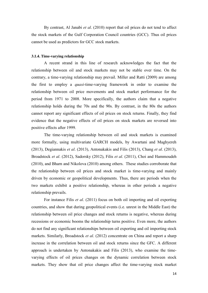By contrast, Al Janabi *et al*. (2010) report that oil prices do not tend to affect the stock markets of the Gulf Corporation Council countries (GCC). Thus oil prices cannot be used as predictors for GCC stock markets.

#### **3.1.4. Time-varying relationship**

A recent strand in this line of research acknowledges the fact that the relationship between oil and stock markets may not be stable over time. On the contrary, a time-varying relationship may prevail. Miller and Ratti (2009) are among the first to employ a *quasi*-time-varying framework in order to examine the relationship between oil price movements and stock market performance for the period from 1971 to 2008. More specifically, the authors claim that a negative relationship holds during the 70s and the 90s. By contrast, in the 80s the authors cannot report any significant effects of oil prices on stock returns. Finally, they find evidence that the negative effects of oil prices on stock markets are reversed into positive effects after 1999.

The time-varying relationship between oil and stock markets is examined more formally, using multivariate GARCH models, by Awartani and Maghyereh (2013), Degiannakis *et al*. (2013), Antonakakis and Filis (2013), Chang *et al*. (2013), Broadstock *et al*. (2012), Sadorsky (2012), Filis *et al*. (2011), Choi and Hammoudeh (2010), and Bharn and Nikolova (2010) among others. These studies corroborate that the relationship between oil prices and stock market is time-varying and mainly driven by economic or geopolitical developments. Thus, there are periods when the two markets exhibit a positive relationship, whereas in other periods a negative relationship prevails.

For instance Filis *et al*. (2011) focus on both oil importing and oil exporting countries, and show that during geopolitical events (i.e. unrest in the Middle East) the relationship between oil price changes and stock returns is negative, whereas during recessions or economic booms the relationship turns positive. Even more, the authors do not find any significant relationships between oil exporting and oil importing stock markets. Similarly, Broadstock *et al*. (2012) concentrate on China and report a sharp increase in the correlation between oil and stock returns since the GFC. A different approach is undertaken by Antonakakis and Filis (2013), who examine the timevarying effects of oil prices changes on the dynamic correlation between stock markets. They show that oil price changes affect the time-varying stock market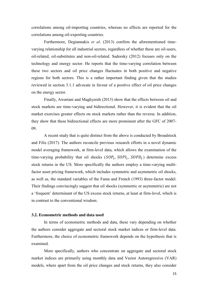correlations among oil-importing countries, whereas no effects are reported for the correlations among oil-exporting countries.

Furthermore, Degiannakis *et al*. (2013) confirm the aforementioned timevarying relationship for all industrial sectors, regardless of whether these are oil-users, oil-related, oil-substitutes and non-oil-related. Sadorsky (2012) focuses only on the technology and energy sector. He reports that the time-varying correlation between these two sectors and oil price changes fluctuates in both positive and negative regions for both sectors. This is a rather important finding given that the studies reviewed in section 3.1.1 advocate in favour of a positive effect of oil price changes on the energy sector.

Finally, Awartani and Maghyereh (2013) show that the effects between oil and stock markets are time-varying and bidirectional. However, it is evident that the oil market exercises greater effects on stock markets rather than the reverse. In addition, they show that these bidirectional effects are more prominent after the GFC of 2007- 09.

A recent study that is quite distinct from the above is conducted by Broadstock and Filis (2017). The authors reconcile previous research efforts in a novel dynamic model averaging framework, at firm-level data, which allows the examination of the time-varying probability that oil shocks  $(SOP_t, SOPI_t, SOPD_t)$  determine excess stock returns in the US. More specifically the authors employ a time-varying multifactor asset pricing framework, which includes symmetric and asymmetric oil shocks, as well as, the standard variables of the Fama and French (1993) three-factor model. Their findings convincingly suggest that oil shocks (symmetric or asymmetric) are not a 'frequent' determinant of the US excess stock returns, at least at firm-level, which is in contrast to the conventional wisdom.

# **3.2. Econometric methods and data used**

In terms of econometric methods and data, these vary depending on whether the authors consider aggregate and sectoral stock market indices or firm-level data. Furthermore, the choice of econometric framework depends on the hypothesis that is examined.

More specifically, authors who concentrate on aggregate and sectoral stock market indices are primarily using monthly data and Vector Autoregressive (VAR) models, where apart from the oil price changes and stock returns, they also consider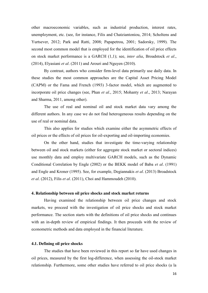other macroeconomic variables, such as industrial production, interest rates, unemployment, etc. (see, for instance, Filis and Chatziantoniou, 2014; Scholtens and Yurtsever, 2012; Park and Ratti, 2008; Papapetrou, 2001; Sadorsky, 1999). The second most common model that is employed for the identification of oil price effects on stock market performance is a GARCH (1,1); see, *inter alia*, Broadstock *et al*., (2014), Elyasiani *et al*. (2011) and Arouri and Nguyen (2010).

By contrast, authors who consider firm-level data primarily use daily data. In these studies the most common approaches are the Capital Asset Pricing Model (CAPM) or the Fama and French (1993) 3-factor model, which are augmented to incorporate oil price changes (see, Phan *et al*., 2015; Mohanty *et al.*, 2013; Narayan and Sharma, 2011, among other).

The use of real and nominal oil and stock market data vary among the different authors. In any case we do not find heterogeneous results depending on the use of real or nominal data.

This also applies for studies which examine either the asymmetric effects of oil prices or the effects of oil prices for oil-exporting and oil-importing economies.

On the other hand, studies that investigate the time-varying relationship between oil and stock markets (either for aggregate stock market or sectoral indices) use monthly data and employ multivariate GARCH models, such as the Dynamic Conditional Correlation by Engle (2002) or the BEKK model of Baba *et al*. (1991) and Engle and Kroner (1995). See, for example, Degiannakis *et al.* (2013) Broadstock *et al*. (2012), Filis *et al.* (2011), Choi and Hammoudeh (2010).

#### **4. Relationship between oil price shocks and stock market returns**

Having examined the relationship between oil price changes and stock markets, we proceed with the investigation of oil price shocks and stock market performance. The section starts with the definitions of oil price shocks and continues with an in-depth review of empirical findings. It then proceeds with the review of econometric methods and data employed in the financial literature.

#### **4.1. Defining oil price shocks**

The studies that have been reviewed in this report so far have used changes in oil prices, measured by the first log-difference, when assessing the oil-stock market relationship. Furthermore, some other studies have referred to oil price shocks (a la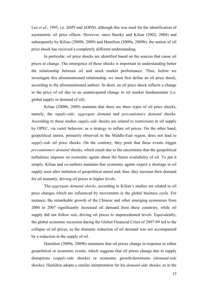Lee *et al.*, 1995, i.e. *SOPI* and *SOPD*), although this was used for the identification of asymmetric oil price effects. However, since Barsky and Kilian (2002, 2004) and subsequently by Kilian (2008b, 2009) and Hamilton (2009a, 2009b), the notion of oil price shock has received a completely different understanding.

In particular, oil price shocks are identified based on the sources that cause oil prices to change. The emergence of these shocks is important in understanding better the relationship between oil and stock market performance. Thus, before we investigate this aforementioned relationship, we must first define an oil price shock, according to the aforementioned authors. In short, an oil price shock reflects a change in the price of oil due to an unanticipated change in oil market fundamentals (i.e. global supply or demand of oil).

Kilian (2008b, 2009) maintain that there are three types of oil price shocks, namely, the *supply-side*, *aggregate demand* and *precautionary demand* shocks. According to these studies *supply-side* shocks are related to restrictions in oil supply by OPEC, via cartel behavior, as a strategy to inflate oil prices. On the other hand, geopolitical unrest, primarily observed in the Middle-East region, does not lead to *supply-side* oil price shocks. On the contrary, they posit that these events trigger *precautionary demand* shocks, which result due to the uncertainty that the geopolitical turbulence imposes on economic agents about the future availability of oil. To put it simply, Kilian and co-authors maintain that economic agents expect a shortage in oil supply soon after initiation of geopolitical unrest and, thus, they increase their demand for oil instantly, driving oil prices to higher levels.

The *aggregate demand shocks*, according to Kilian's studies are related to oil price changes which are influenced by movements in the global business cycle. For instance, the remarkable growth of the Chinese and other emerging economies from 2004 to 2007 significantly increased oil demand from these countries, while oil supply did not follow suit, driving oil prices to unprecedented levels. Equivalently, the global economic recession during the Global Financial Crisis of 2007-09 led to the collapse of oil prices, as the dramatic reduction of oil demand was not accompanied by a reduction in the supply of oil.

Hamilton (2009a, 2009b) maintains that oil prices change in response to either geopolitical or economic events, which suggests that oil prices change due to supply disruptions (*supply-side* shocks) or economic growth/downturns (*demand-side*  shocks). Hamilton adopts a similar interpretation for his *demand-side* shocks, as in the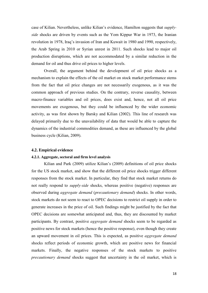case of Kilian. Nevertheless, unlike Kilian's evidence, Hamilton suggests that *supplyside* shocks are driven by events such as the Yom Kippur War in 1973, the Iranian revolution in 1978, Iraq's invasion of Iran and Kuwait in 1980 and 1990, respectively, the Arab Spring in 2010 or Syrian unrest in 2011. Such shocks lead to major oil production disruptions, which are not accommodated by a similar reduction in the demand for oil and thus drive oil prices to higher levels.

Overall, the argument behind the development of oil price shocks as a mechanism to explain the effects of the oil market on stock market performance stems from the fact that oil price changes are not necessarily exogenous, as it was the common approach of previous studies. On the contrary, reverse causality, between macro-finance variables and oil prices, does exist and, hence, not all oil price movements are exogenous, but they could be influenced by the wider economic activity, as was first shown by Barsky and Kilian (2002). This line of research was delayed primarily due to the unavailability of data that would be able to capture the dynamics of the industrial commodities demand, as these are influenced by the global business cycle (Kilian, 2009).

#### **4.2. Empirical evidence**

#### **4.2.1. Aggregate, sectoral and firm level analysis**

Kilian and Park (2009) utilize Kilian's (2009) definitions of oil price shocks for the US stock market, and show that the different oil price shocks trigger different responses from the stock market. In particular, they find that stock market returns do not really respond to *supply-side* shocks, whereas positive (negative) responses are observed during *aggregate demand* (*precautionary demand*) shocks. In other words, stock markets do not seem to react to OPEC decisions to restrict oil supply in order to generate increases in the price of oil. Such findings might be justified by the fact that OPEC decisions are somewhat anticipated and, thus, they are discounted by market participants. By contrast, positive *aggregate demand* shocks seem to be regarded as positive news for stock markets (hence the positive response), even though they create an upward movement in oil prices. This is expected, as positive *aggregate demand* shocks reflect periods of economic growth, which are positive news for financial markets. Finally, the negative responses of the stock markets to positive *precautionary demand* shocks suggest that uncertainty in the oil market, which is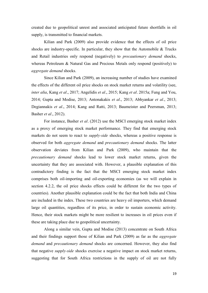created due to geopolitical unrest and associated anticipated future shortfalls in oil supply, is transmitted to financial markets.

Kilian and Park (2009) also provide evidence that the effects of oil price shocks are industry-specific. In particular, they show that the Automobile  $&$  Trucks and Retail industries only respond (negatively) to *precautionary demand* shocks, whereas Petroleum & Natural Gas and Precious Metals only respond (positively) to *aggregate demand* shocks.

Since Kilian and Park (2009), an increasing number of studies have examined the effects of the different oil price shocks on stock market returns and volatility (see, *inter alia*, Kang *et al.*, 2017; Angelidis *et al.*, 2015; Kang *et al.* 2015a; Fung and You, 2014; Gupta and Modise, 2013; Antonakakis *et al.*, 2013; Abhyankar *et al.*, 2013; Degiannakis *et al.*, 2014; Kang and Ratti, 2013; Baumeister and Peersman, 2013; Basher *et al.*, 2012).

For instance, Basher *et al.* (2012) use the MSCI emerging stock market index as a proxy of emerging stock market performance. They find that emerging stock markets do not seem to react to *supply-side* shocks, whereas a positive response is observed for both *aggregate demand* and *precautionary demand* shocks. The latter observation deviates from Kilian and Park (2009), who maintain that the *precautionary demand* shocks lead to lower stock market returns, given the uncertainty that they are associated with. However, a plausible explanation of this contradictory finding is the fact that the MSCI emerging stock market index comprises both oil-importing and oil-exporting economies (as we will explain in section 4.2.2, the oil price shocks effects could be different for the two types of countries). Another plausible explanation could be the fact that both India and China are included in the index. These two countries are heavy oil importers, which demand large oil quantities, regardless of its price, in order to sustain economic activity. Hence, their stock markets might be more resilient to increases in oil prices even if these are taking place due to geopolitical uncertainty.

Along a similar vein, Gupta and Modise (2013) concentrate on South Africa and their findings support those of Kilian and Park (2009) as far as the *aggregate demand* and *precautionary demand* shocks are concerned. However, they also find that negative *supply-side* shocks exercise a negative impact on stock market returns, suggesting that for South Africa restrictions in the supply of oil are not fully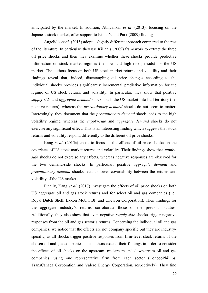anticipated by the market. In addition, Abhyankar *et al.* (2013), focusing on the Japanese stock market, offer support to Kilian's and Park (2009) findings.

Angelidis *et al.* (2015) adopt a slightly different approach compared to the rest of the literature. In particular, they use Kilian's (2009) framework to extract the three oil price shocks and then they examine whether these shocks provide predictive information on stock market regimes (i.e. low and high risk periods) for the US market. The authors focus on both US stock market returns and volatility and their findings reveal that, indeed, disentangling oil price changes according to the individual shocks provides significantly incremental predictive information for the regime of US stock returns and volatility. In particular, they show that positive *supply-side* and *aggregate demand* shocks push the US market into bull territory (i.e. positive returns), whereas the *precautionary demand* shocks do not seem to matter. Interestingly, they document that the *precautionary demand* shock leads to the high volatility regime, whereas the *supply-side* and *aggregate demand* shocks do not exercise any significant effect. This is an interesting finding which suggests that stock returns and volatility respond differently to the different oil price shocks.

Kang *et al.* (2015a) chose to focus on the effects of oil price shocks on the covariates of US stock market returns and volatility. Their findings show that *supplyside* shocks do not exercise any effects, whereas negative responses are observed for the two demand-side shocks. In particular, positive *aggregate demand* and *precautionary demand* shocks lead to lower covariability between the returns and volatility of the US market.

Finally, Kang *et al.* (2017) investigate the effects of oil price shocks on both US aggregate oil and gas stock returns and for select oil and gas companies (i.e., Royal Dutch Shell, Exxon Mobil, BP and Chevron Corporation). Their findings for the aggregate industry's returns corroborate those of the previous studies. Additionally, they also show that even negative *supply-side* shocks trigger negative responses from the oil and gas sector's returns. Concerning the individual oil and gas companies, we notice that the effects are not company specific but they are industryspecific, as all shocks trigger positive responses from firm-level stock returns of the chosen oil and gas companies. The authors extend their findings in order to consider the effects of oil shocks on the upstream, midstream and downstream oil and gas companies, using one representative firm from each sector (ConocoPhillips, TransCanada Corporation and Valero Energy Corporation, respectively). They find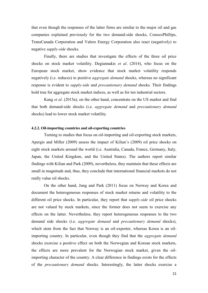that even though the responses of the latter firms are similar to the major oil and gas companies explained previously for the two demand-side shocks, ConocoPhillips, TransCanada Corporation and Valero Energy Corporation also react (negatively) to negative *supply-side* shocks.

Finally, there are studies that investigate the effects of the three oil price shocks on stock market volatility. Degiannakis *et al.* (2014), who focus on the European stock market, show evidence that stock market volatility responds negatively (i.e. reduces) to positive *aggregate demand* shocks, whereas no significant response is evident to *supply-side* and *precautionary demand* shocks. Their findings hold true for aggregate stock market indices, as well as for ten industrial sectors.

Kang *et al.* (2015a), on the other hand, concentrate on the US market and find that both demand-side shocks (i.e. *aggregate demand* and *precautionary demand* shocks) lead to lower stock market volatility.

#### **4.2.2. Oil-importing countries and oil-exporting countries**

Turning to studies that focus on oil-importing and oil-exporting stock markets, Apergis and Miller (2009) assess the impact of Kilian's (2009) oil price shocks on eight stock markets around the world (i.e. Australia, Canada, France, Germany, Italy, Japan, the United Kingdom, and the United States). The authors report similar findings with Kilian and Park (2009), nevertheless, they maintain that these effects are small in magnitude and, thus, they conclude that international financial markets do not really value oil shocks.

On the other hand, Jung and Park (2011) focus on Norway and Korea and document the heterogeneous responses of stock market returns and volatility to the different oil price shocks. In particular, they report that *supply-side* oil price shocks are not valued by stock markets, since the former does not seem to exercise any effects on the latter. Nevertheless, they report heterogeneous responses to the two demand side shocks (i.e. *aggregate demand* and *precautionary demand* shocks), which stem from the fact that Norway is an oil-exporter, whereas Korea is an oilimporting country. In particular, even though they find that the *aggregate demand* shocks exercise a positive effect on both the Norwegian and Korean stock markets, the effects are more prevalent for the Norwegian stock market, given the oilimporting character of the country. A clear difference in findings exists for the effects of the *precautionary demand* shocks. Interestingly, the latter shocks exercise a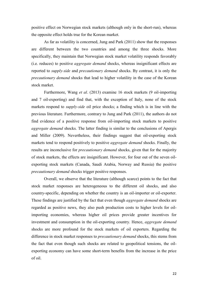positive effect on Norwegian stock markets (although only in the short-run), whereas the opposite effect holds true for the Korean market.

As far as volatility is concerned, Jung and Park (2011) show that the responses are different between the two countries and among the three shocks. More specifically, they maintain that Norwegian stock market volatility responds favorably (i.e. reduces) to positive *aggregate demand* shocks, whereas insignificant effects are reported to *supply-side* and *precautionary demand* shocks. By contrast, it is only the *precautionary demand* shocks that lead to higher volatility in the case of the Korean stock market.

Furthermore, Wang *et al.* (2013) examine 16 stock markets (9 oil-importing and 7 oil-exporting) and find that, with the exception of Italy, none of the stock markets respond to *supply-side* oil price shocks; a finding which is in line with the previous literature. Furthermore, contrary to Jung and Park (2011), the authors do not find evidence of a positive response from oil-importing stock markets to positive *aggregate demand* shocks. The latter finding is similar to the conclusions of Apergis and Miller (2009). Nevertheless, their findings suggest that oil-exporting stock markets tend to respond positively to positive *aggregate demand* shocks. Finally, the results are inconclusive for *precautionary demand* shocks, given that for the majority of stock markets, the effects are insignificant. However, for four out of the seven oilexporting stock markets (Canada, Saudi Arabia, Norway and Russia) the positive *precautionary demand* shocks trigger positive responses.

Overall, we observe that the literature (although scarce) points to the fact that stock market responses are heterogeneous to the different oil shocks, and also country-specific, depending on whether the country is an oil-importer or oil-exporter. These findings are justified by the fact that even though *aggregate demand* shocks are regarded as positive news, they also push production costs to higher levels for oilimporting economies, whereas higher oil prices provide greater incentives for investment and consumption in the oil-exporting country. Hence, *aggregate demand* shocks are more profound for the stock markets of oil exporters. Regarding the difference in stock market responses to *precautionary demand* shocks, this stems from the fact that even though such shocks are related to geopolitical tensions, the oilexporting economy can have some short-term benefits from the increase in the price of oil.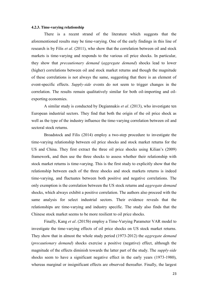#### **4.2.3. Time-varying relationship**

There is a recent strand of the literature which suggests that the aforementioned results may be time-varying. One of the early findings in this line of research is by Filis *et al.* (2011), who show that the correlation between oil and stock markets is time-varying and responds to the various oil price shocks. In particular, they show that *precautionary demand* (*aggregate demand*) shocks lead to lower (higher) correlations between oil and stock market returns and though the magnitude of these correlations is not always the same, suggesting that there is an element of event-specific effects. *Supply-side* events do not seem to trigger changes in the correlation. The results remain qualitatively similar for both oil-importing and oilexporting economies.

A similar study is conducted by Degiannakis *et al.* (2013), who investigate ten European industrial sectors. They find that both the origin of the oil price shock as well as the type of the industry influence the time-varying correlation between oil and sectoral stock returns.

Broadstock and Filis (2014) employ a two-step procedure to investigate the time-varying relationship between oil price shocks and stock market returns for the US and China. They first extract the three oil price shocks using Kilian's (2009) framework, and then use the three shocks to assess whether their relationship with stock market returns is time-varying. This is the first study to explicitly show that the relationship between each of the three shocks and stock markets returns is indeed time-varying, and fluctuates between both positive and negative correlations. The only exemption is the correlation between the US stock returns and *aggregate demand* shocks, which always exhibit a positive correlation. The authors also proceed with the same analysis for select industrial sectors. Their evidence reveals that the relationships are time-varying and industry specific. The study also finds that the Chinese stock market seems to be more resilient to oil price shocks.

Finally, Kang *et al.* (2015b) employ a Time-Varying Parameter VAR model to investigate the time-varying effects of oil price shocks on US stock market returns. They show that in almost the whole study period (1973-2012) the *aggregate demand* (*precautionary demand*) shocks exercise a positive (negative) effect, although the magnitude of the effects diminish towards the latter part of the study. The *supply-side*  shocks seem to have a significant negative effect in the early years (1973-1980), whereas marginal or insignificant effects are observed thereafter. Finally, the largest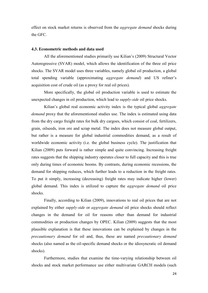effect on stock market returns is observed from the *aggregate demand* shocks during the GFC.

# **4.3. Econometric methods and data used**

All the aforementioned studies primarily use Kilian's (2009) Structural Vector Autoregressive (SVAR) model, which allows the identification of the three oil price shocks. The SVAR model uses three variables, namely global oil production, a global total spending variable (approximating *aggregate demand*) and US refiner's acquisition cost of crude oil (as a proxy for real oil prices).

More specifically, the global oil production variable is used to estimate the unexpected changes in oil production, which lead to *supply-side* oil price shocks.

Kilian's global real economic activity index is the typical global *aggregate demand* proxy that the aforementioned studies use. The index is estimated using data from the dry cargo freight rates for bulk dry cargoes, which consist of coal, fertilizers, grain, oilseeds, iron ore and scrap metal. The index does not measure global output, but rather is a measure for global industrial commodities demand, as a result of worldwide economic activity (i.e. the global business cycle). The justification that Kilian (2009) puts forward is rather simple and quite convincing. Increasing freight rates suggests that the shipping industry operates closer to full capacity and this is true only during times of economic booms. By contrasts, during economic recessions, the demand for shipping reduces, which further leads to a reduction in the freight rates. To put it simply, increasing (decreasing) freight rates may indicate higher (lower) global demand. This index is utilized to capture the *aggregate demand* oil price shocks.

Finally, according to Kilian (2009), innovations to real oil prices that are not explained by either *supply-side* or *aggregate demand* oil price shocks should reflect changes in the demand for oil for reasons other than demand for industrial commodities or production changes by OPEC. Kilian (2009) suggests that the most plausible explanation is that these innovations can be explained by changes in the *precautionary demand* for oil and, thus, these are named *precautionary demand* shocks (also named as the oil-specific demand shocks or the idiosyncratic oil demand shocks).

Furthermore, studies that examine the time-varying relationship between oil shocks and stock market performance use either multivariate GARCH models (such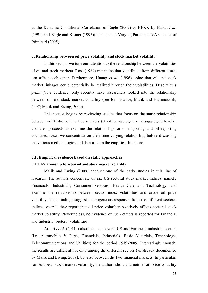as the Dynamic Conditional Correlation of Engle (2002) or BEKK by Baba *et al.* (1991) and Engle and Kroner (1995)) or the Time-Varying Parameter VAR model of Primiceri (2005).

#### **5. Relationship between oil price volatility and stock market volatility**

In this section we turn our attention to the relationship between the volatilities of oil and stock markets. Ross (1989) maintains that volatilities from different assets can affect each other. Furthermore, Huang *et al.* (1996) opine that oil and stock market linkages could potentially be realized through their volatilities. Despite this *prima facie* evidence, only recently have researchers looked into the relationship between oil and stock market volatility (see for instance, Malik and Hammoudeh, 2007; Malik and Ewing, 2009).

This section begins by reviewing studies that focus on the static relationship between volatilities of the two markets (at either aggregate or disaggregate levels), and then proceeds to examine the relationship for oil-importing and oil-exporting countries. Next, we concentrate on their time-varying relationship, before discussing the various methodologies and data used in the empirical literature.

### **5.1. Empirical evidence based on static approaches**

#### **5.1.1. Relationship between oil and stock market volatility**

Malik and Ewing (2009) conduct one of the early studies in this line of research. The authors concentrate on six US sectoral stock market indices, namely Financials, Industrials, Consumer Services, Health Care and Technology, and examine the relationship between sector index volatilities and crude oil price volatility. Their findings suggest heterogeneous responses from the different sectoral indices; overall they report that oil price volatility positively affects sectoral stock market volatility. Nevertheless, no evidence of such effects is reported for Financial and Industrial sectors' volatilities.

Arouri *et al.* (2011a) also focus on several US and European industrial sectors (i.e. Automobile & Parts, Financials, Industrials, Basic Materials, Technology, Telecommunications and Utilities) for the period 1989-2009. Interestingly enough, the results are different not only among the different sectors (as already documented by Malik and Ewing, 2009), but also between the two financial markets. In particular, for European stock market volatility, the authors show that neither oil price volatility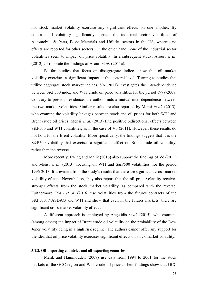nor stock market volatility exercise any significant effects on one another. By contrast, oil volatility significantly impacts the industrial sector volatilities of Automobile & Parts, Basic Materials and Utilities sectors in the US, whereas no effects are reported for other sectors. On the other hand, none of the industrial sector volatilities seem to impact oil price volatility. In a subsequent study, Arouri *et al.* (2012) corroborate the findings of Arouri *et al.* (2011a).

So far, studies that focus on disaggregate indices show that oil market volatility exercises a significant impact at the sectoral level. Turning to studies that utilize aggregate stock market indices, Vo (2011) investigates the inter-dependence between S&P500 index and WTI crude oil price volatilities for the period 1999-2008. Contrary to previous evidence, the author finds a mutual inter-dependence between the two market volatilities. Similar results are also reported by Mensi *et al.* (2013), who examine the volatility linkages between stock and oil prices for both WTI and Brent crude oil prices. Mensi *et al*. (2013) find positive bidirectional effects between S&P500 and WTI volatilities, as in the case of Vo (2011). However, these results do not hold for the Brent volatility. More specifically, the findings suggest that it is the S&P500 volatility that exercises a significant effect on Brent crude oil volatility, rather than the reverse.

More recently, Ewing and Malik (2016) also support the findings of Vo (2011) and Mensi *et al.* (2013), focusing on WTI and S&P500 volatilities, for the period 1996-2013. It is evident from the study's results that there are significant cross-market volatility effects. Nevertheless, they also report that the oil price volatility receives stronger effects from the stock market volatility, as compared with the reverse. Furthermore, Phan *et al.* (2016) use volatilities from the futures contracts of the S&P500, NASDAQ and WTI and show that even in the futures markets, there are significant cross-market volatility effects.

A different approach is employed by Angelidis *et al.* (2015), who examine (among others) the impact of Brent crude oil volatility on the probability of the Dow Jones volatility being in a high risk regime. The authors cannot offer any support for the idea that oil price volatility exercises significant effects on stock market volatility.

### **5.1.2. Oil-importing countries and oil-exporting countries**

Malik and Hammoudeh (2007) use data from 1994 to 2001 for the stock markets of the GCC region and WTI crude oil prices. Their findings show that GCC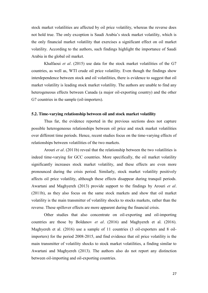stock market volatilities are affected by oil price volatility, whereas the reverse does not hold true. The only exception is Saudi Arabia's stock market volatility, which is the only financial market volatility that exercises a significant effect on oil market volatility. According to the authors, such findings highlight the importance of Saudi Arabia in the global oil market.

Khalfaoui *et al.* (2015) use data for the stock market volatilities of the G7 countries, as well as, WTI crude oil price volatility. Even though the findings show interdependence between stock and oil volatilities, there is evidence to suggest that oil market volatility is leading stock market volatility. The authors are unable to find any heterogeneous effects between Canada (a major oil-exporting country) and the other G7 countries in the sample (oil-importers).

#### **5.2. Time-varying relationship between oil and stock market volatility**

Thus far, the evidence reported in the previous sections does not capture possible heterogeneous relationships between oil price and stock market volatilities over different time periods. Hence, recent studies focus on the time-varying effects of relationships between volatilities of the two markets.

Arouri *et al.* (2011b) reveal that the relationship between the two volatilities is indeed time-varying for GCC countries. More specifically, the oil market volatility significantly increases stock market volatility, and these effects are even more pronounced during the crisis period. Similarly, stock market volatility positively affects oil price volatility, although these effects disappear during tranquil periods. Awartani and Maghyereh (2013) provide support to the findings by Arouri *et al.* (2011b), as they also focus on the same stock markets and show that oil market volatility is the main transmitter of volatility shocks to stocks markets, rather than the reverse. These spillover effects are more apparent during the financial crisis.

Other studies that also concentrate on oil-exporting and oil-importing countries are those by Boldanov *et al.* (2016) and Maghyereh et al. (2016). Maghyereh et al. (2016) use a sample of 11 countries (3 oil-exporters and 8 oilimporters) for the period 2008-2015, and find evidence that oil price volatility is the main transmitter of volatility shocks to stock market volatilities, a finding similar to Awartani and Maghyereh (2013). The authors also do not report any distinction between oil-importing and oil-exporting countries.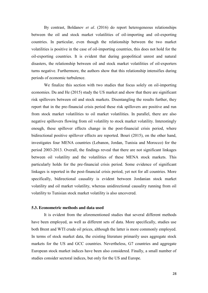By contrast, Boldanov *et al.* (2016) do report heterogeneous relationships between the oil and stock market volatilities of oil-importing and oil-exporting countries. In particular, even though the relationship between the two market volatilities is positive in the case of oil-importing countries, this does not hold for the oil-exporting countries. It is evident that during geopolitical unrest and natural disasters, the relationship between oil and stock market volatilities of oil-exporters turns negative. Furthermore, the authors show that this relationship intensifies during periods of economic turbulence.

We finalize this section with two studies that focus solely on oil-importing economies. Du and He (2015) study the US market and show that there are significant risk spillovers between oil and stock markets. Disentangling the results further, they report that in the pre-financial crisis period these risk spillovers are positive and run from stock market volatilities to oil market volatilities. In parallel, there are also negative spillovers flowing from oil volatility to stock market volatility. Interestingly enough, these spillover effects change in the post-financial crisis period, where bidirectional positive spillover effects are reported. Bouri (2015), on the other hand, investigates four MENA countries (Lebanon, Jordan, Tunisia and Morocco) for the period 2003-2013. Overall, the findings reveal that there are not significant linkages between oil volatility and the volatilities of these MENA stock markets. This particularly holds for the pre-financial crisis period. Some evidence of significant linkages is reported in the post-financial crisis period, yet not for all countries. More specifically, bidirectional causality is evident between Jordanian stock market volatility and oil market volatility, whereas unidirectional causality running from oil volatility to Tunisian stock market volatility is also uncovered.

# **5.3. Econometric methods and data used**

It is evident from the aforementioned studies that several different methods have been employed, as well as different sets of data. More specifically, studies use both Brent and WTI crude oil prices, although the latter is more commonly employed. In terms of stock market data, the existing literature primarily uses aggregate stock markets for the US and GCC countries. Nevertheless, G7 countries and aggregate European stock market indices have been also considered. Finally, a small number of studies consider sectoral indices, but only for the US and Europe.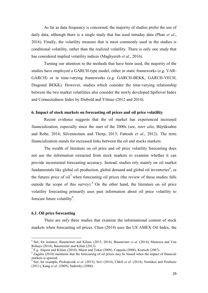As far as data frequency is concerned, the majority of studies prefer the use of daily data, although there is a single study that has used intraday data (Phan *et al.*, 2016). Finally, the volatility measure that is most commonly used in the studies is conditional volatility, rather than the realized volatility. There is only one study that has considered implied volatility indices (Maghyereh *et al.*, 2016).

Turning our attention to the methods that have been used, the majority of the studies have employed a GARCH-type model, either in static frameworks (e.g. VAR-GARCH) or in time-varying frameworks (e.g. GARCH-BEKK, GARCH-VECH, Diagonal BEKK). However, studies which consider the time-varying relationship between the two market volatilities also consider the newly developed Spillover Index and Connectedness Index by Diebold and Yilmaz (2012 and 2014).

# **6. Impact of stock markets on forecasting oil prices and oil price volatility**

Recent evidence suggests that the oil market has experienced increased financialization, especially since the start of the 2000s (see, *inter alia*, Büyüksahin and Robe, 2014; Silvennoinen and Thorp, 2013; Fattouh *et al*., 2012). The term financialization stands for increased links between the oil and stocks markets.

The wealth of literature on oil price and oil price volatility forecasting does not use the information extracted from stock markets to examine whether it can provide incremental forecasting accuracy. Instead, studies rely mainly on oil market fundamentals like global oil production, global demand and global oil inventories $<sup>6</sup>$ , or</sup> the futures price of  $\delta$ il<sup>7</sup> when forecasting oil prices (the review of these studies falls outside the scope of this survey). <sup>8</sup> On the other hand, the literature on oil price volatility forecasting primarily uses past information about oil price volatility to forecast future volatility $9$ .

# **6.1. Oil price forecasting**

There are only three studies that examine the informational content of stock markets when forecasting oil prices. Chen (2014) uses the US AMEX Oil Index, the

<sup>&</sup>lt;sup>6</sup> See, for instance, Baumeister and Kilian, (2015, 2014), Baumeister *et al.* (2014), Manescu and Van Robays (2014), Baumeister and Kilian (2012).

<sup>&</sup>lt;sup>7</sup> E.g. Alquist and Kilian, (2010), Murat and Tokat (2009), Coppola (2008), Knetsch (2007).

<sup>8</sup> Zagalia (2010) maintains that the forecasting of oil prices may be biased when the impact of financial markets is ignored.

<sup>9</sup> See, for example, Prokopczuk *et al*. (2015), Sevi (2014), Chkili *et al*. (2014), Nomikos and Pouliasis (2011), Kang *et al*. (2009), Sadorsky (2006).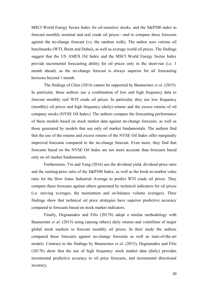MSCI World Energy Sector Index for oil-sensitive stocks, and the S&P500 index to forecast monthly nominal and real crude oil prices—and to compare these forecasts against the no-change forecast (i.e. the random walk). The author uses various oil benchmarks (WTI, Brent and Dubai), as well as average world oil prices. The findings suggest that the US AMEX Oil Index and the MSCI World Energy Sector Index provide incremental forecasting ability for oil prices only in the short-run (i.e. 1 month ahead), as the no-change forecast is always superior for all forecasting horizons beyond 1 month.

The findings of Chen (2014) cannot be supported by Baumeister *et al*. (2015). In particular, these authors use a combination of low and high frequency data to forecast monthly real WTI crude oil prices. In particular, they use low frequency (monthly) oil prices and high frequency (daily) returns and the excess returns of oil company stocks (NYSE Oil Index). The authors compare the forecasting performance of these models based on stock market data against no-change forecasts, as well as those generated by models that use only oil market fundamentals. The authors find that the use of the returns and excess returns of the NYSE Oil Index offer marginally improved forecasts compared to the no-change forecast. Even more, they find that forecasts based on the NYSE Oil Index are not more accurate than forecasts based only on oil market fundamentals.

Furthermore, Yin and Yang (2016) use the dividend yield, dividend-price ratio and the earning-price ratio of the S&P500 Index, as well as the book-to-market value ratio for the Dow Jones Industrial Average to predict WTI crude oil prices. They compare these forecasts against others generated by technical indicators for oil prices (i.e. moving averages, the momentum and on-balance volume averages). Their findings show that technical oil price strategies have superior predictive accuracy compared to forecasts based on stock market indicators.

Finally, Degiannakis and Filis (2017b) adopt a similar methodology with Baumeister *et al.* (2015) using (among others) daily returns and volatilities of major global stock markets to forecast monthly oil prices. In their study the authors compared these forecasts against no-change forecasts as well as state-of-the-art models. Contrary to the findings by Baumeister *et al.* (2015), Degiannakis and Filis (2017b) show that the use of high frequency stock market data (daily) provides incremental predictive accuracy to oil price forecasts, and incremental directional accuracy.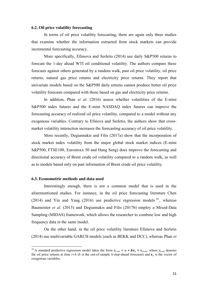#### **6.2. Oil price volatility forecasting**

In terms of oil price volatility forecasting, there are again only three studies that examine whether the information extracted from stock markets can provide incremental forecasting accuracy.

More specifically, Efimova and Serletis (2014) use daily S&P500 returns to forecast the 1-day ahead WTI oil conditional volatility. The authors compare these forecasts against others generated by a random walk, past oil price volatility, oil price returns, natural gas price returns and electricity price returns. They report that univariate models based on the S&P500 daily returns cannot produce better oil price volatility forecasts compared with those based on gas and electricity price returns.

In addition, Phan *et al*. (2016) assess whether volatilities of the E-mini S&P500 index futures and the E-mini NASDAQ index futures can improve the forecasting accuracy of realized oil price volatility, compared to a model without any exogenous variables. Contrary to Efinova and Serletis, the authors show that crossmarket volatility interaction increases the forecasting accuracy of oil price volatility.

More recently, Degiannakis and Filis (2017a) show that the incorporation of stock market index volatility from the major global stock market indices (E-mini S&P500, FTSE100, Eurostoxx 50 and Hang Seng) does improve the forecasting and directional accuracy of Brent crude oil volatility compared to a random walk, as well as to models based only on past information of Brent crude oil price volatility.

#### **6.3. Econometric methods and data used**

Interestingly enough, there is not a common model that is used in the aforementioned studies. For instance, in the oil price forecasting literature Chen (2014) and Yin and Yang (2016) use predictive regression models  $10$ , whereas Baumeister *et al*. (2015) and Degiannakis and Filis (2017b) employ a Mixed-Data Sampling (MIDAS) framework, which allows the researcher to combine low and high frequency data in the same model.

On the other hand, in the oil price volatility literature Efimova and Serletis (2014) use multivariable GARCH models (such as BEKK and DCC), whereas Phan *et* 

<sup>&</sup>lt;sup>10</sup> A standard predictive regression model takes the form  $y_{t+h} = a + bx_t + u_{t+h}$ , where  $y_{t+h}$  denotes the oil price returns at time  $t+h$  (*h* is the out-of-sample *h*-step-ahead forecasts) and  $x_t$  is the vector of exogenous variables.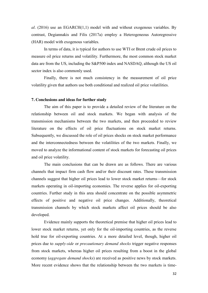*al*. (2016) use an EGARCH(1,1) model with and without exogenous variables. By contrast, Degiannakis and Filis (2017a) employ a Heterogeneous Autoregressive (HAR) model with exogenous variables.

In terms of data, it is typical for authors to use WTI or Brent crude oil prices to measure oil price returns and volatility. Furthermore, the most common stock market data are from the US, including the S&P500 index and NASDAQ, although the US oil sector index is also commonly used.

Finally, there is not much consistency in the measurement of oil price volatility given that authors use both conditional and realized oil price volatilities.

#### **7. Conclusions and ideas for further study**

The aim of this paper is to provide a detailed review of the literature on the relationship between oil and stock markets. We began with analysis of the transmission mechanisms between the two markets, and then proceeded to review literature on the effects of oil price fluctuations on stock market returns. Subsequently, we discussed the role of oil prices shocks on stock market performance and the interconnectedness between the volatilities of the two markets. Finally, we moved to analyze the informational content of stock markets for forecasting oil prices and oil price volatility.

The main conclusions that can be drawn are as follows. There are various channels that impact firm cash flow and/or their discount rates. These transmission channels suggest that higher oil prices lead to lower stock market returns—for stock markets operating in oil-importing economies. The reverse applies for oil-exporting countries. Further study in this area should concentrate on the possible asymmetric effects of positive and negative oil price changes. Additionally, theoretical transmission channels by which stock markets affect oil prices should be also developed.

Evidence mainly supports the theoretical premise that higher oil prices lead to lower stock market returns, yet only for the oil-importing countries, as the reverse hold true for oil-exporting countries. At a more detailed level, though, higher oil prices due to *supply-side* or *precautionary demand shocks* trigger negative responses from stock markets, whereas higher oil prices resulting from a boost in the global economy (*aggregate demand shocks*) are received as positive news by stock markets. More recent evidence shows that the relationship between the two markets is time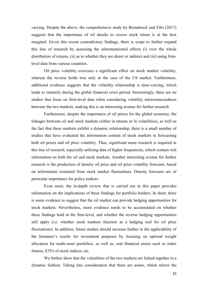varying. Despite the above, the comprehensive study by Broadstock and Filis (2017) suggests that the importance of oil shocks to excess stock return is at the best marginal. Given this recent contradictory findings, there is scope to further expand this line of research by assessing the aforementioned effects (i) over the whole distribution of returns, (ii) as to whether they are direct or indirect and (iii) using firmlevel data from various countries.

Oil price volatility exercises a significant effect on stock market volatility, whereas the reverse holds true only in the case of the US market. Furthermore, additional evidence suggests that the volatility relationship is time-varying, which tends to intensify during the global financial crisis period. Interestingly, there are no studies that focus on firm-level data when considering volatility interconnectedness between the two markets, making this is an interesting avenue for further research.

Furthermore, despite the importance of oil prices for the global economy, the linkages between oil and stock markets (either in returns or in volatilities), as well as the fact that these markets exhibit a dynamic relationship, there is a small number of studies that have evaluated the information content of stock markets in forecasting both oil prices and oil price volatility. Thus, significant more research is required in this line of research, especially utilizing data of higher frequencies, which contain rich information on both the oil and stock markets. Another interesting avenue for further research is the production of density oil price and oil price volatility forecasts, based on information extracted from stock market fluctuations. Density forecasts are of particular importance for policy makers.

Even more, the in-depth review that is carried out in this paper provides information on the implications of these findings for portfolio holders. In short, there is some evidence to suggest that the oil market can provide hedging opportunities for stock markets. Nevertheless, more evidence needs to be accumulated on whether these findings hold at the firm-level, and whether the reverse hedging opportunities still apply (i.e. whether stock markets function as a hedging tool for oil price fluctuations). In addition, future studies should increase further in the applicability of the literature's results for investment purposes by focusing on optimal weight allocation for multi-asset portfolios, as well as, real financial assets such as index futures, ETFs of stock indices, etc.

We further show that the volatilities of the two markets are linked together in a dynamic fashion. Taking into consideration that there are assets, which mirror the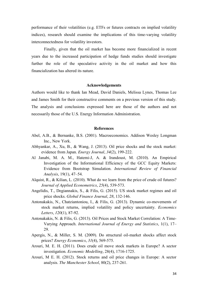performance of their volatilities (e.g. ETFs or futures contracts on implied volatility indices), research should examine the implications of this time-varying volatility interconnectedness for volatility investors.

Finally, given that the oil market has become more financialized in recent years due to the increased participation of hedge funds studies should investigate further the role of the speculative activity in the oil market and how this financialization has altered its nature.

### **Acknowledgements**

Authors would like to thank Ian Mead, David Daniels, Melissa Lynes, Thomas Lee and James Smith for their constructive comments on a previous version of this study. The analysis and conclusions expressed here are those of the authors and not necessarily those of the U.S. Energy Information Administration.

#### **References**

- Abel, A.B., & Bernanke, B.S. (2001). Macroeconomics. Addison Wesley Longman Inc., New York.
- Abhyankar, A., Xu, B., & Wang, J. (2013). Oil price shocks and the stock market: evidence from Japan. *Energy Journal*, *34*(2), 199-222.
- Al Janabi, M. A. M., Hatemi-J, A. & Irandoust, M. (2010). An Empirical Investigation of the Informational Efficiency of the GCC Equity Markets: Evidence from Bootstrap Simulation. *International Review of Financial Analysis*, 19(1), 47–54.
- Alquist, R., & Kilian, L. (2010). What do we learn from the price of crude oil futures? *Journal of Applied Econometrics*, *25*(4), 539-573.
- Angelidis, T., Degiannakis, S., & Filis, G. (2015). US stock market regimes and oil price shocks. *Global Finance Journal*, *28*, 132-146.
- Antonakakis, N., Chatziantoniou, I., & Filis, G. (2013). Dynamic co-movements of stock market returns, implied volatility and policy uncertainty. *Economics Letters*, *120*(1), 87-92.
- Antonakakis, N. & Filis, G. (2013). Oil Prices and Stock Market Correlation: A Time-Varying Approach. *International Journal of Energy and Statistics*, 1(1), 17– 29.
- Apergis, N., & Miller, S. M. (2009). Do structural oil-market shocks affect stock prices? *Energy Economics*, *31*(4), 569-575.
- Arouri, M. E. H. (2011). Does crude oil move stock markets in Europe? A sector investigation. *Economic Modelling*, 28(4), 1716-1725.
- Arouri, M E. H. (2012). Stock returns and oil price changes in Europe: A sector analysis. *The Manchester School*, 80(2), 237-261.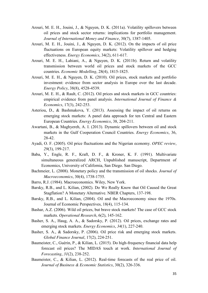- Arouri, M. E. H., Jouini, J., & Nguyen, D. K. (2011a). Volatility spillovers between oil prices and stock sector returns: implications for portfolio management. *Journal of International Money and Finance*, 30(7), 1387-1405.
- Arouri, M. E. H., Jouini, J., & Nguyen, D. K. (2012). On the impacts of oil price fluctuations on European equity markets: Volatility spillover and hedging effectiveness. *Energy Economics*, 34(2), 611-617.
- Arouri, M. E. H., Lahiani, A., & Nguyen, D. K. (2011b). Return and volatility transmission between world oil prices and stock markets of the GCC countries. *Economic Modelling*, 28(4), 1815-1825.
- Arouri, M. E. H., & Nguyen, D. K. (2010). Oil prices, stock markets and portfolio investment: evidence from sector analysis in Europe over the last decade. *Energy Policy*, 38(8), 4528-4539.
- Arouri, M. E. H., & Rault, C. (2012). Oil prices and stock markets in GCC countries: empirical evidence from panel analysis. *International Journal of Finance & Economics*, 17(3), 242-253.
- Asteriou, D., & Bashmakova, Y. (2013). Assessing the impact of oil returns on emerging stock markets: A panel data approach for ten Central and Eastern European Countries. *Energy Economics*, 38, 204-211.
- Awartani, B., & Maghyereh, A. I. (2013). Dynamic spillovers between oil and stock markets in the Gulf Cooperation Council Countries. *Energy Economics*, 36, 28-42.
- Ayadi, O. F. (2005). Oil price fluctuations and the Nigerian economy. *OPEC review*, *29*(3), 199-217.
- Baba, Y., Engle, R. F., Kraft, D. F., & Kroner, K. F. (1991). Multivariate simultaneous generalized ARCH, Unpublished manuscript, Department of Economics, University of California, San Diego. San Diego.
- Bachmeier, L. (2008). Monetary policy and the transmission of oil shocks. *Journal of Macroeconomics*, 30(4), 1738-1755.
- Barro, R.J. (1984). Macroeconomics. Wiley, New York.
- Barsky, R.B., and L. Kilian, (2002). Do We Really Know that Oil Caused the Great Stagflation? A Monetary Alternative. NBER Chapters, 137-198.
- Barsky, R.B., and L. Kilian, (2004). Oil and the Macroeconomy since the 1970s. Journal of Economic Perspectives, 18(4), 115-134.
- Bashar, A.Z. (2006). Wild oil prices, but brave stock markets! The case of GCC stock markets. *Operational Research*, 6(2), 145-162.
- Basher, S. A., Haug, A. A., & Sadorsky, P. (2012). Oil prices, exchange rates and emerging stock markets. *Energy Economics*, *34*(1), 227-240.
- Basher, S. A., & Sadorsky, P. (2006). Oil price risk and emerging stock markets. *Global Finance Journal*, 17(2), 224-251.
- Baumeister, C., Guérin, P., & Kilian, L. (2015). Do high-frequency financial data help forecast oil prices? The MIDAS touch at work. *International Journal of Forecasting*, *31*(2), 238-252.
- Baumeister, C., & Kilian, L. (2012). Real-time forecasts of the real price of oil. *Journal of Business & Economic Statistics*, 30(2), 326-336.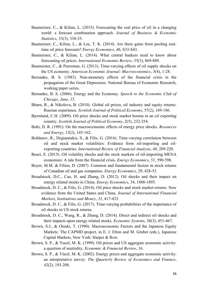- Baumeister, C., & Kilian, L. (2015). Forecasting the real price of oil in a changing world: a forecast combination approach. *Journal of Business & Economic Statistics*, 33(3), 338-35.
- Baumeister, C., Kilian, L., & Lee, T. K. (2014). Are there gains from pooling realtime oil price forecasts? *Energy Economics*, *46*, S33-S43.
- Baumeister, C., & Kilian, L. (2014). What central bankers need to know about forecasting oil prices. *International Economic Review*, *55*(3), 869-889.
- Baumeister, C., & Peersman, G. (2013). Time-varying effects of oil supply shocks on the US economy. *American Economic Journal: Macroeconomics*, *5*(4), 1-28.
- Bernanke, B. S. (1983). Non-monetary effects of the financial crisis in the propagation of the Great Depression. National Bureau of Economic Research, working paper series.
- Bernanke, B. S. (2006). Energy and the Economy. *Speech to the Economic Club of Chicago, June*, *15*.
- Bharn, R., & Nikolova, B. (2010). Global oil prices, oil industry and equity returns: Russian experience. *Scottish Journal of Political Economy*, 57(2), 169-186.
- Bjornland, C.H. (2009). Oil price shocks and stock market booms in an oil exporting country. *Scottish Journal of Political Economy*, 2(5), 232-254.
- Bohi, D. R. (1991). On the macroeconomic effects of energy price shocks. *Resources and Energy*, *13*(2), 145-162.
- Boldanov, R., Degiannakis, S., & Filis, G. (2016). Time-varying correlation between oil and stock market volatilities: Evidence from oil-importing and oilexporting countries. *International Review of Financial Analysis*, *48*, 209-220.
- Bouri, E. (2015). Oil volatility shocks and the stock markets of oil-importing MENA economies: A tale from the financial crisis. *Energy Economics*, *51*, 590-598.
- Boyer, M.M. & Filion, D. (2007). Common and fundamental factors in stock returns of Canadian oil and gas companies. *Energy Economics*, 29, 428-53.
- Broadstock, D.C., Cao, H. and Zhang, D. (2012). Oil shocks and their impact on energy related stocks in China. *Energy Economics*, 34, 1888-1895.
- Broadstock, D. C., & Filis, G. (2014). Oil price shocks and stock market returns: New evidence from the United States and China. *Journal of International Financial Markets, Institutions and Money*, *33*, 417-433.
- Broadstock, D. C., & Filis, G. (2017). Time-varying probabilities of the importance of oil shocks to US stock returns.
- Broadstock, D. C., Wang, R., & Zhang, D. (2014). Direct and indirect oil shocks and their impacts upon energy related stocks. *Economic Systems*, 38(3), 451-467.
- Brown, S.J., & Otsuki, T. (1990). Macroeconomic Factors and the Japanese Equity Markets: The CAPMD project, in E. J. Elton and M. Gruber (eds.), Japanese Capital Markets, New York: Harper & Row.
- Brown, S. P., & Yucel, M. K. (1999). Oil prices and US aggregate economic activity: a question of neutrality. *Economic & Financial Review*, 16.
- Brown, S. P., & Yücel, M. K. (2002). Energy prices and aggregate economic activity: an interpretative survey. *The Quarterly Review of Economics and Finance*, *42*(2), 193-208.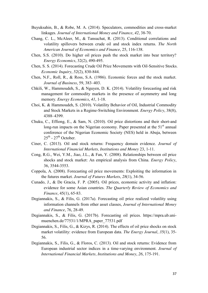- Buyuksahin, B., & Robe, M. A. (2014). Speculators, commodities and cross-market linkages. *Journal of International Money and Finance*, *42*, 38-70.
- Chang, C. L., McAleer, M., & Tansuchat, R. (2013). Conditional correlations and volatility spillovers between crude oil and stock index returns. *The North American Journal of Economics and Finance*, 25, 116-138.
- Chen, S.S. (2010). Do higher oil prices push the stock market into bear territory? *Energy Economics*, 32(2), 490-495.
- Chen, S. S. (2014). Forecasting Crude Oil Price Movements with Oil‐Sensitive Stocks. *Economic Inquiry*, *52*(2), 830-844.
- Chen, N.F., Roll, R., & Ross, S.A. (1986). Economic forces and the stock market. *Journal of Business*, 59, 383–403.
- Chkili, W., Hammoudeh, S., & Nguyen, D. K. (2014). Volatility forecasting and risk management for commodity markets in the presence of asymmetry and long memory. *Energy Economics*, *41*, 1-18.
- Choi, K. & Hammoudeh, S. (2010). Volatility Behavior of Oil, Industrial Commodity and Stock Markets in a Regime-Switching Environment. *Energy Policy*, 38(8), 4388–4399.
- Chuku, C., Effiong, E., & Sam, N. (2010). Oil price distortions and their short-and long-run impacts on the Nigerian economy. Paper presented at the  $51<sup>st</sup>$  annual conference of the Nigerian Economic Society (NES) held in Abuja, between  $25^{th}$  -  $27^{th}$  October.
- Ciner, C. (2013). Oil and stock returns: Frequency domain evidence. *Journal of International Financial Markets, Institutions and Money* 23, 1-11.
- Cong, R.G., Wei, Y.M., Jiao, J.L., & Fan, Y. (2008). Relationships between oil price shocks and stock market: An empirical analysis from China. *Energy Policy*, 36, 3544-3553.
- Coppola, A. (2008). Forecasting oil price movements: Exploiting the information in the futures market. *Journal of Futures Markets*, *28*(1), 34-56.
- Cunado, J., & De Gracia, F. P. (2005). Oil prices, economic activity and inflation: evidence for some Asian countries. *The Quarterly Review of Economics and Finance*, 45(1), 65-83.
- Degiannakis, S., & Filis, G. (2017a). Forecasting oil price realized volatility using information channels from other asset classes, *Journal of International Money and Finance*, 76, 28-49.
- Degiannakis, S., & Filis, G. (2017b). Forecasting oil prices. https://mpra.ub.unimuenchen.de/77531/1/MPRA\_paper\_77531.pdf
- Degiannakis, S., Filis, G., & Kizys, R. (2014). The effects of oil price shocks on stock market volatility: evidence from European data. *The Energy Journal*, *35*(1), 35- 56.
- Degiannakis, S., Filis, G., & Floros, C. (2013). Oil and stock returns: Evidence from European industrial sector indices in a time-varying environment. *Journal of International Financial Markets, Institutions and Money*, *26*, 175-191.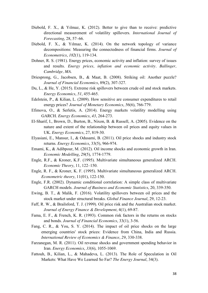- Diebold, F. X., & Yılmaz, K. (2012). Better to give than to receive: predictive directional measurement of volatility spillovers. *International Journal of Forecasting*, 28, 57–66.
- Diebold, F. X., & Yılmaz, K. (2014). On the network topology of variance decompositions: Measuring the connectedness of financial firms. *Journal of Econometrics*, *182*(1), 119-134.
- Dohner, R. S. (1981). Energy prices, economic activity and inflation: survey of issues and results. *Energy prices, inflation and economic activity. Ballinger, Cambridge, MA*.
- Driesprong, G., Jacobsen, B., & Maat, B. (2008). Striking oil: Another puzzle? *Journal of Financial Economics*, 89(2), 307-327.
- Du, L., & He, Y. (2015). Extreme risk spillovers between crude oil and stock markets. *Energy Economics*, *51*, 455-465.
- Edelstein, P., & Kilian, L. (2009). How sensitive are consumer expenditures to retail energy prices? *Journal of Monetary Economics*, *56*(6), 766-779.
- Efimova, O., & Serletis, A. (2014). Energy markets volatility modelling using GARCH. *Energy Economics*, *43*, 264-273.
- El-Sharif, I., Brown, D., Burton, B., Nixon, B. & Russell, A. (2005). Evidence on the nature and extent of the relationship between oil prices and equity values in UK. *Energy Economics*, 27, 819-30.
- Elyasiani, E., Mansur, I., & Odusami, B. (2011). Oil price shocks and industry stock returns. *Energy Economics*, 33(5), 966-974.
- Emami, K., & Adibpour, M. (2012). Oil income shocks and economic growth in Iran. *Economic Modelling*, *29*(5), 1774-1779.
- Engle, R.F., & Kroner, K.F. (1995). Multivariate simultaneous generalized ARCH. *Economic Theory*, 11, 122–150.
- Engle, R. F., & Kroner, K. F. (1995). Multivariate simultaneous generalized ARCH. *Econometric theory*, 11(01), 122-150.
- Engle, F.R. (2002). Dynamic conditional correlation: A simple class of multivariate GARCH models. *Journal of Business and Economic Statistics*, 20, 339-350.
- Ewing, B. T., & Malik, F. (2016). Volatility spillovers between oil prices and the stock market under structural breaks. *Global Finance Journal*, 29, 12-23.
- Faff, R. W., & Brailsford, T. J. (1999). Oil price risk and the Australian stock market. *Journal of Energy Finance & Development*, 4(1), 69-87.
- Fama, E. F., & French, K. R. (1993). Common risk factors in the returns on stocks and bonds. *Journal of Financial Economics*, 33(1), 3-56.
- Fang, C. R., & You, S. Y. (2014). The impact of oil price shocks on the large emerging countries' stock prices: Evidence from China, India and Russia. *International Review of Economics & Finance*, *29*, 330-338.
- Farzanegan, M. R. (2011). Oil revenue shocks and government spending behavior in Iran. *Energy Economics*, *33*(6), 1055-1069.
- Fattouh, B., Kilian, L., & Mahadeva, L. (2013). The Role of Speculation in Oil Markets: What Have We Learned So Far? *The Energy Journal*, 34(3).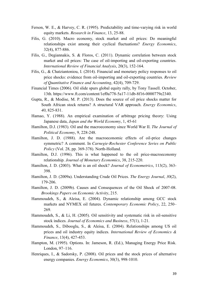- Ferson, W. E., & Harvey, C. R. (1995). Predictability and time-varying risk in world equity markets. *Research in Finance*, 13, 25-88.
- Filis, G. (2010). Macro economy, stock market and oil prices: Do meaningful relationships exist among their cyclical fluctuations? *Energy Economics*, 32(4), 877-886.
- Filis, G., Degiannakis, S. & Floros, C. (2011). Dynamic correlation between stock market and oil prices: The case of oil-importing and oil-exporting countries. *International Review of Financial Analysis*, 20(3), 152-164.
- Filis, G., & Chatziantoniou, I. (2014). Financial and monetary policy responses to oil price shocks: evidence from oil-importing and oil-exporting countries. *Review of Quantitative Finance and Accounting*, 42(4), 709-729.
- Financial Times (2006). Oil slide spurs global equity rally, by Tony Tassell. October, 13th. https://www.ft.com/content/1ef0a778-5a17-11db-8f16-0000779e2340.
- Gupta, R., & Modise, M. P. (2013). Does the source of oil price shocks matter for South African stock returns? A structural VAR approach. *Energy Economics*, *40*, 825-831.
- Hamao, Y. (1988). An empirical examination of arbitrage pricing theory: Using Japanese data, *Japan and the World Economy*, 1, 45-61
- Hamilton, D.J. (1983). Oil and the macroeconomy since World War II. *The Journal of Political Economy*, 9, 228-248.
- Hamilton, J. D. (1988). Are the macroeconomic effects of oil-price changes symmetric? A comment. In *Carnegie-Rochester Conference Series on Public Policy* (Vol. 28, pp. 369-378). North-Holland.
- Hamilton, D.J. (1996). This is what happened to the oil price-macroeconomy relationship. *Journal of Monetary Economics*, 38, 215-220.
- Hamilton, J. D. (2003). What is an oil shock? *Journal of Econometrics*, 113(2), 363- 398.
- Hamilton, J. D. (2009a). Understanding Crude Oil Prices. *The Energy Journal*, *30*(2), 179-206.
- Hamilton, J. D. (2009b). Causes and Consequences of the Oil Shock of 2007-08. *Brookings Papers on Economic Activity*, 215.
- Hammoudeh, S., & Aleisa, E. (2004). Dynamic relationship among GCC stock markets and NYMEX oil futures. *Contemporary Economic Policy*, 22, 250– 269.
- Hammoudeh, S., & Li, H. (2005). Oil sensitivity and systematic risk in oil-sensitive stock indices. *Journal of Economics and Business*, 57(1), 1-21.
- Hammoudeh, S., Dibooglu, S., & Aleisa, E. (2004). Relationships among US oil prices and oil industry equity indices. *International Review of Economics & Finance*, 13(4), 427-453.
- Hampton, M. (1995). Options. In: Jameson, R. (Ed.), Managing Energy Price Risk. London, 97–116.
- Henriques, I., & Sadorsky, P. (2008). Oil prices and the stock prices of alternative energy companies. *Energy Economics*, 30(3), 998-1010.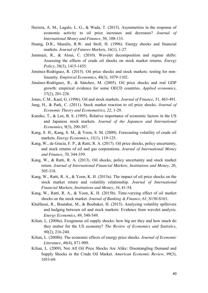- Herrera, A. M., Lagalo, L. G., & Wada, T. (2015). Asymmetries in the response of economic activity to oil price increases and decreases? *Journal of International Money and Finance*, 50, 108-133.
- Huang, D.R., Masulis, R.W. and Stoll, H. (1996). Energy shocks and financial markets. *Journal of Futures Markets*, 16(1), 1-27.
- Jammazi, R., & Aloui, C. (2010). Wavelet decomposition and regime shifts: Assessing the effects of crude oil shocks on stock market returns. *Energy Policy*, 38(3), 1415-1435.
- Jiménez-Rodríguez, R. (2015). Oil price shocks and stock markets: testing for nonlinearity. *Empirical Economics*, 48(3), 1079-1102.
- Jiménez-Rodríguez, R., & Sánchez, M. (2005). Oil price shocks and real GDP growth: empirical evidence for some OECD countries. *Applied economics*, 37(2), 201-228.
- Jones, C.M., Kaul, G. (1996). Oil and stock markets. *Journal of Finance*, 51, 463-491.
- Jung, H., & Park, C. (2011). Stock market reaction to oil price shocks. *Journal of Economic Theory and Econometrics*, *22*, 1-29.
- Kaneko, T., & Lee, B. S. (1995). Relative importance of economic factors in the US and Japanese stock markets. *Journal of the Japanese and International Economies*, 9(3), 290-307.
- Kang, S. H., Kang, S. M., & Yoon, S. M. (2009). Forecasting volatility of crude oil markets. *Energy Economics*, *31*(1), 119-125.
- Kang, W., de Gracia, F. P., & Ratti, R. A. (2017). Oil price shocks, policy uncertainty, and stock returns of oil and gas corporations. *Journal of International Money and Finance*, *70*, 344-359.
- Kang, W., & Ratti, R. A. (2013). Oil shocks, policy uncertainty and stock market return. *Journal of International Financial Markets, Institutions and Money*, *26*, 305-318.
- Kang, W., Ratti, R. A., & Yoon, K. H. (2015a). The impact of oil price shocks on the stock market return and volatility relationship. *Journal of International Financial Markets, Institutions and Money*, *34*, 41-54.
- Kang, W., Ratti, R. A., & Yoon, K. H. (2015b). Time-varying effect of oil market shocks on the stock market. *Journal of Banking & Finance*, *61*, S150-S163.
- Khalfaoui, R., Boutahar, M., & Boubaker, H. (2015). Analyzing volatility spillovers and hedging between oil and stock markets: Evidence from wavelet analysis. *Energy Economics*, 49, 540-549.
- Kilian, L. (2008a). Exogenous oil supply shocks: how big are they and how much do they matter for the US economy? *The Review of Economics and Statistics*, *90*(2), 216-240.
- Kilian, L. (2008b). The economic effects of energy price shocks. *Journal of Economic Literature*, *46*(4), 871-909.
- Kilian, L. (2009). Not All Oil Price Shocks Are Alike: Disentangling Demand and Supply Shocks in the Crude Oil Market. *American Economic Review*, *99*(3), 1053-69.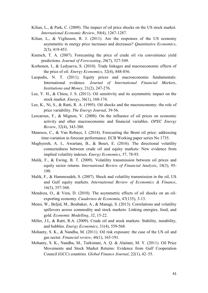- Kilian, L., & Park, C. (2009). The impact of oil price shocks on the US stock market. *International Economic Review*, *50*(4), 1267-1287.
- Kilian, L., & Vigfusson, R. J. (2011). Are the responses of the US economy asymmetric in energy price increases and decreases? *Quantitative Economics*, 2(3), 419-453.
- Knetsch, T. A. (2007). Forecasting the price of crude oil via convenience yield predictions. *Journal of Forecasting*, *26*(7), 527-549.
- Korhonen, I., & Ledyaeva, S. (2010). Trade linkages and macroeconomic effects of the price of oil. *Energy Economics*, 32(4), 848-856.
- Laopodis, N. T. (2011). Equity prices and macroeconomic fundamentals: International evidence. *Journal of International Financial Markets, Institutions and Money*, 21(2), 247-276.
- Lee, Y. H., & Chiou, J. S. (2011). Oil sensitivity and its asymmetric impact on the stock market. *Energy*, 36(1), 168-174.
- Lee, K., Ni, S., & Ratti, R. A. (1995). Oil shocks and the macroeconomy: the role of price variability. *The Energy Journal*, 39-56.
- Lescaroux, F., & Mignon, V. (2008). On the influence of oil prices on economic activity and other macroeconomic and financial variables. *OPEC Energy Review*, 32(4), 343-380.
- Manescu, C., & Van Robays, I. (2014). Forecasting the Brent oil price: addressing time-variation in forecast performance. ECB Working paper series No 1735.
- Maghyereh, A. I., Awartani, B., & Bouri, E. (2016). The directional volatility connectedness between crude oil and equity markets: New evidence from implied volatility indexes. *Energy Economics*, 57, 78-93.
- Malik, F., & Ewing, B. T. (2009). Volatility transmission between oil prices and equity sector returns. *International Review of Financial Analysis*, 18(3), 95- 100.
- Malik, F., & Hammoudeh, S. (2007). Shock and volatility transmission in the oil, US and Gulf equity markets. *International Review of Economics & Finance*, 16(3), 357-368.
- Mendoza, O., & Vera, D. (2010). The asymmetric effects of oil shocks on an oilexporting economy. *Cuadernos de Economía*, 47(135), 3-13.
- Mensi, W., Beljid, M., Boubaker, A., & Managi, S. (2013). Correlations and volatility spillovers across commodity and stock markets: Linking energies, food, and gold. *Economic Modelling*, *32*, 15-22.
- Miller, J.I., & Ratti, R.A. (2009). Crude oil and stock markets: Stability, instability, and bubbles. *Energy Economics*, 31(4), 559-568.
- Mohanty, S. K., & Nandha, M. (2011). Oil risk exposure: the case of the US oil and gas sector. *Financial review*, *46*(1), 165-191.
- Mohanty, S. K., Nandha, M., Turkistani, A. Q. & Alaitani, M. Y. (2011). Oil Price Movements and Stock Market Returns: Evidence from Gulf Cooperation Council (GCC) countries. *Global Finance Journal*, 22(1), 42–55.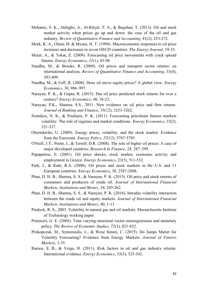- Mohanty, S. K., Akhigbe, A., Al-Khyal, T. A., & Bugshan, T. (2013). Oil and stock market activity when prices go up and down: the case of the oil and gas industry. *Review of Quantitative Finance and Accounting*, 41(2), 253-272.
- Mork, K. A., Olsen, Ø. & Mysen, H. T. (1994). Macroeconomic responses to oil price increases and decreases in seven OECD countries. *The Energy Journal*, 19-35.
- Murat, A., & Tokat, E. (2009). Forecasting oil price movements with crack spread futures. *Energy Economics*, *31*(1), 85-90.
- Nandha, M., & Brooks, R. (2009). Oil prices and transport sector returns: an international analysis. *Review of Quantitative Finance and Accounting*, 33(4), 393-409.
- Nandha, M., & Faff, R. (2008). Does oil move equity prices? A global view. *Energy Economics*, 30, 986–997.
- Narayan, P. K., & Gupta, R. (2015). Has oil price predicted stock returns for over a century? *Energy Economics*, 48, 18-23.
- Narayan, P.K., Sharma, S.S., 2011. New evidence on oil price and firm returns. *Journal of Banking and Finance*, 35(12), 3253-3262.
- Nomikos, N. K., & Pouliasis, P. K. (2011). Forecasting petroleum futures markets volatility: The role of regimes and market conditions. *Energy Economics*, *33*(2), 321-337.
- Oberndorfer, U. (2009). Energy prices, volatility, and the stock market: Evidence from the Eurozone. *Energy Policy*, *37*(12), 5787-5795.
- O'Neill, J.T., Penm, J., & Terrell, D.R. (2008). The role of higher oil prices: A case of major developed countries. *Research in Finance*, 24, 287–299.
- Papapetrou, E. (2001). Oil price shocks, stock market, economic activity and employment in Greece. *Energy Economics*, 23(5), 511-532.
- Park, J., & Ratti, R.A. (2008). Oil prices and stock markets in the U.S. and 13 European countries. *Energy Economics*, 30, 2587-2608.
- Phan, D. H. B., Sharma, S. S., & Narayan, P. K. (2015). Oil price and stock returns of consumers and producers of crude oil. *Journal of International Financial Markets, Institutions and Money*, 34, 245-262.
- Phan, D. H. B., Sharma, S. S., & Narayan, P. K. (2016). Intraday volatility interaction between the crude oil and equity markets. *Journal of International Financial Markets, Institutions and Money*, 40, 1-13.
- Pindyck, R. S., 2003. Volatility in natural gas and oil markets. Massachusetts Institute of Technology working paper.
- Primiceri, G. E. (2005). Time varying structural vector autoregressions and monetary policy. *The Review of Economic Studies*, *72*(3), 821-852.
- Prokopczuk, M., Symeonidis, L., & Wese Simen, C. (2015). Do Jumps Matter for Volatility Forecasting? Evidence from Energy Markets. *Journal of Futures Markets*, 1-35.
- Ramos, S. B., & Veiga, H. (2011). Risk factors in oil and gas industry returns: International evidence. *Energy Economics*, 33(3), 525-542.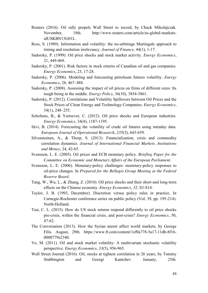- Reuters (2016). Oil rally propels Wall Street to record, by Chuck Mikolajczak. November, 18th. http://www.reuters.com/article/us-global-marketsidUSKBN13G01L.
- Ross, S. (1989). Information and volatility: the no-arbitrage Martingale approach to timing and resolution irrelevancy. *Journal of Finance*, 44(1), 1-17.
- Sadorsky, P. (1999). Oil price shocks and stock market activity. *Energy Economics*, 21, 449-469.
- Sadorsky, P. (2001). Risk factors in stock returns of Canadian oil and gas companies. *Energy Economics*, 23, 17-28.
- Sadorsky, P. (2006). Modeling and forecasting petroleum futures volatility. *Energy Economics*, 28, 467–488.
- Sadorsky, P. (2008). Assessing the impact of oil prices on firms of different sizes: Its tough being in the middle. *Energy Policy*, 36(10), 3854-3861.
- Sadorsky, P. (2012). Correlations and Volatility Spillovers between Oil Prices and the Stock Prices of Clean Energy and Technology Companies. *Energy Economics*, 34(1), 248–255.
- Scholtens, B., & Yurtsever, C. (2012). Oil price shocks and European industries. *Energy Economics*, 34(4), 1187-1195.
- Sévi, B. (2014). Forecasting the volatility of crude oil futures using intraday data. *European Journal of Operational Research*, *235*(3), 643-659.
- Silvennoinen, A., & Thorp, S. (2013). Financialization, crisis and commodity correlation dynamics. *Journal of International Financial Markets, Institutions and Money*, 24, 42-65.
- Svensson, L. E. (2005). Oil prices and ECB monetary policy. *Briefing Paper for the Committee on Economic and Monetary Affairs of the European Parliament*.
- Svensson, L. E. (2006). Monetary-policy challenges: monetary-policy responses to oil-price changes. In *Prepared for the Bellagio Group Meeting at the Federal Reserve Board*.
- Tang, W., Wu, L., & Zhang, Z. (2010). Oil price shocks and their short-and long-term effects on the Chinese economy. *Energy Economics*, *32*, S3-S14.
- Taylor, J. B. (1993, December). Discretion versus policy rules in practice. In Carnegie-Rochester conference series on public policy (Vol. 39, pp. 195-214). North-Holland.
- Tsai, C. L. (2015). How do US stock returns respond differently to oil price shocks pre-crisis, within the financial crisis, and post-crisis? *Energy Economics*, 50, 47-62.
- The Conversation (2013). How the Syrian unrest affect world markets, by George Filis. August, 29th. https://www.ft.com/content/1ef0a778-5a17-11db-8f16- 0000779e2340.
- Vo, M. (2011). Oil and stock market volatility: A multivariate stochastic volatility perspective. *Energy Economics*, *33*(5), 956-965.
- Wall Street Journal (2016). Oil, stocks at tightest correlation in 26 years, by Tommy Stubbington and Georgi Kantchev. January, 25th.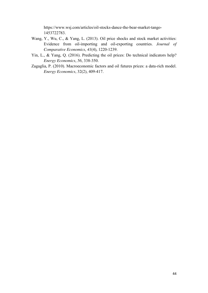https://www.wsj.com/articles/oil-stocks-dance-the-bear-market-tango-1453722783.

- Wang, Y., Wu, C., & Yang, L. (2013). Oil price shocks and stock market activities: Evidence from oil-importing and oil-exporting countries. *Journal of Comparative Economics*, *41*(4), 1220-1239.
- Yin, L., & Yang, Q. (2016). Predicting the oil prices: Do technical indicators help? *Energy Economics*, *56*, 338-350.
- Zagaglia, P. (2010). Macroeconomic factors and oil futures prices: a data-rich model. *Energy Economics*, 32(2), 409-417.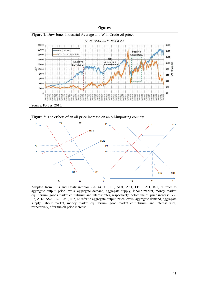

**Figure 2**: The effects of an oil price increase on an oil-importing country.



Adapted from Filis and Chatziantoniou (2014). Y1, P1, AD1, AS1, FE1, LM1, IS1, r1 refer to aggregate output, price levels, aggregate demand, aggregate supply, labour market, money market equilibrium, goods market equilibrium and interest rates, respectively, before the oil price increase. Y2, P2, AD2, AS2, FE2, LM2, IS2, r2 refer to aggregate output, price levels, aggregate demand, aggregate supply, labour market, money market equilibrium, good market equilibrium, and interest rates, respectively, after the oil price increase.